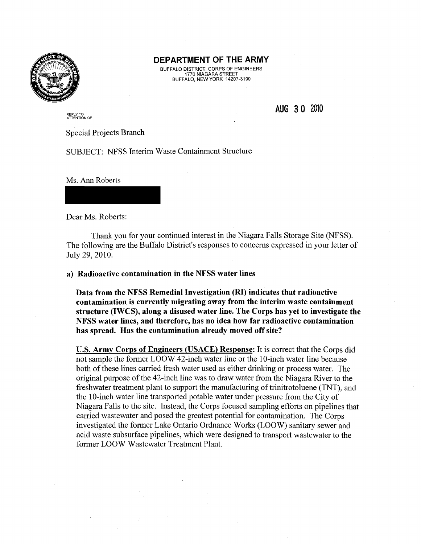

### **DEPARTMENT OF THE ARMY**

BUFFALO DISTRICT, CORPS OF ENGINEERS 1776 NIAGARA STREET BUFFALO, NEW YORK 14207-3199

AUG 30 2010

REPLY TO<br>ATT**ENTION OF** 

Special Projects Branch

SUBJECT: NFSS Interim Waste Containment Structure

Ms. Ann Roberts

Dear Ms. Roberts:

Thank you for your continued interest in the Niagara Falls Storage Site (NFSS). The following are the Buffalo District's responses to concerns expressed in your letter of July 29,2010.

a) Radioactive contamination in the NFSS water lines

Data from the NFSS Remedial Investigation (RI) indicates that radioactive contamination is currently migrating away from the interim waste containment structure (IWCS), along a disused water line. The Corps has yet to investigate the NFSS water lines, and therefore, has no idea how far radioactive contamination has spread. Has the contamination already moved off site?

u.s. Army Corps of Engineers (USACE) Response: It is correct that the Corps did not sample the former LOOW 42-inch water line or the 10-inch water line because both of these lines carried fresh water used as either drinking or process water. The original purpose of the 42-inch line was to draw water from the Niagara River to the freshwater treatment plant to support the manufacturing of trinitrotoluene (TNT), and the 10-inch water line transported potable water under pressure from the City of Niagara Falls to the site. Instead, the Corps focused sampling efforts on pipelines that carried wastewater and posed the greatest potential for contamination. The Corps investigated the former Lake Ontario Ordnance Works (LOOW) sanitary sewer and acid waste subsurface pipelines, which were designed to transport wastewater to the former LOOW Wastewater Treatment Plant.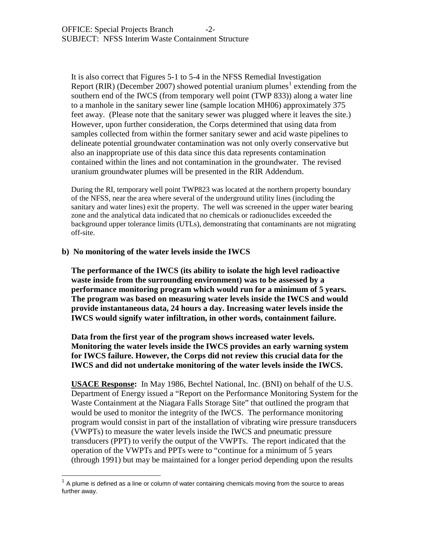It is also correct that Figures 5-1 to 5-4 in the NFSS Remedial Investigation Report (RIR) (December 2007) showed potential uranium plumes<sup>[1](#page-1-0)</sup> extending from the southern end of the IWCS (from temporary well point (TWP 833)) along a water line to a manhole in the sanitary sewer line (sample location MH06) approximately 375 feet away. (Please note that the sanitary sewer was plugged where it leaves the site.) However, upon further consideration, the Corps determined that using data from samples collected from within the former sanitary sewer and acid waste pipelines to delineate potential groundwater contamination was not only overly conservative but also an inappropriate use of this data since this data represents contamination contained within the lines and not contamination in the groundwater. The revised uranium groundwater plumes will be presented in the RIR Addendum.

During the RI, temporary well point TWP823 was located at the northern property boundary of the NFSS, near the area where several of the underground utility lines (including the sanitary and water lines) exit the property. The well was screened in the upper water bearing zone and the analytical data indicated that no chemicals or radionuclides exceeded the background upper tolerance limits (UTLs), demonstrating that contaminants are not migrating off-site.

### **b) No monitoring of the water levels inside the IWCS**

**The performance of the IWCS (its ability to isolate the high level radioactive waste inside from the surrounding environment) was to be assessed by a performance monitoring program which would run for a minimum of 5 years. The program was based on measuring water levels inside the IWCS and would provide instantaneous data, 24 hours a day. Increasing water levels inside the IWCS would signify water infiltration, in other words, containment failure.** 

**Data from the first year of the program shows increased water levels. Monitoring the water levels inside the IWCS provides an early warning system for IWCS failure. However, the Corps did not review this crucial data for the IWCS and did not undertake monitoring of the water levels inside the IWCS.**

**USACE Response:** In May 1986, Bechtel National, Inc. (BNI) on behalf of the U.S. Department of Energy issued a "Report on the Performance Monitoring System for the Waste Containment at the Niagara Falls Storage Site" that outlined the program that would be used to monitor the integrity of the IWCS. The performance monitoring program would consist in part of the installation of vibrating wire pressure transducers (VWPTs) to measure the water levels inside the IWCS and pneumatic pressure transducers (PPT) to verify the output of the VWPTs. The report indicated that the operation of the VWPTs and PPTs were to "continue for a minimum of 5 years (through 1991) but may be maintained for a longer period depending upon the results

<span id="page-1-0"></span> <sup>1</sup> A plume is defined as a line or column of water containing chemicals moving from the source to areas further away.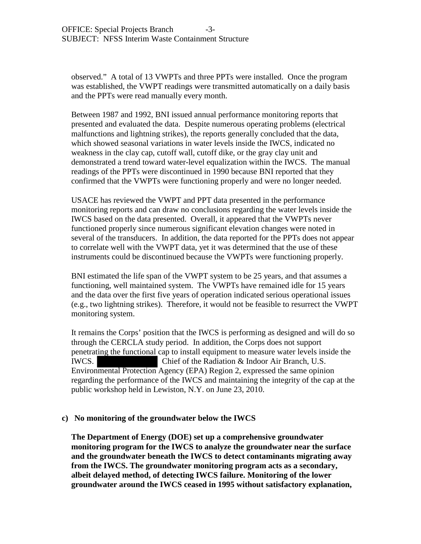observed." A total of 13 VWPTs and three PPTs were installed. Once the program was established, the VWPT readings were transmitted automatically on a daily basis and the PPTs were read manually every month.

Between 1987 and 1992, BNI issued annual performance monitoring reports that presented and evaluated the data. Despite numerous operating problems (electrical malfunctions and lightning strikes), the reports generally concluded that the data, which showed seasonal variations in water levels inside the IWCS, indicated no weakness in the clay cap, cutoff wall, cutoff dike, or the gray clay unit and demonstrated a trend toward water-level equalization within the IWCS. The manual readings of the PPTs were discontinued in 1990 because BNI reported that they confirmed that the VWPTs were functioning properly and were no longer needed.

USACE has reviewed the VWPT and PPT data presented in the performance monitoring reports and can draw no conclusions regarding the water levels inside the IWCS based on the data presented. Overall, it appeared that the VWPTs never functioned properly since numerous significant elevation changes were noted in several of the transducers. In addition, the data reported for the PPTs does not appear to correlate well with the VWPT data, yet it was determined that the use of these instruments could be discontinued because the VWPTs were functioning properly.

BNI estimated the life span of the VWPT system to be 25 years, and that assumes a functioning, well maintained system. The VWPTs have remained idle for 15 years and the data over the first five years of operation indicated serious operational issues (e.g., two lightning strikes). Therefore, it would not be feasible to resurrect the VWPT monitoring system.

It remains the Corps' position that the IWCS is performing as designed and will do so through the CERCLA study period. In addition, the Corps does not support penetrating the functional cap to install equipment to measure water levels inside the IWCS. Chief of the Radiation & Indoor Air Branch, U.S. Environmental Protection Agency (EPA) Region 2, expressed the same opinion regarding the performance of the IWCS and maintaining the integrity of the cap at the public workshop held in Lewiston, N.Y. on June 23, 2010.

## **c) No monitoring of the groundwater below the IWCS**

**The Department of Energy (DOE) set up a comprehensive groundwater monitoring program for the IWCS to analyze the groundwater near the surface and the groundwater beneath the IWCS to detect contaminants migrating away from the IWCS. The groundwater monitoring program acts as a secondary, albeit delayed method, of detecting IWCS failure. Monitoring of the lower groundwater around the IWCS ceased in 1995 without satisfactory explanation,**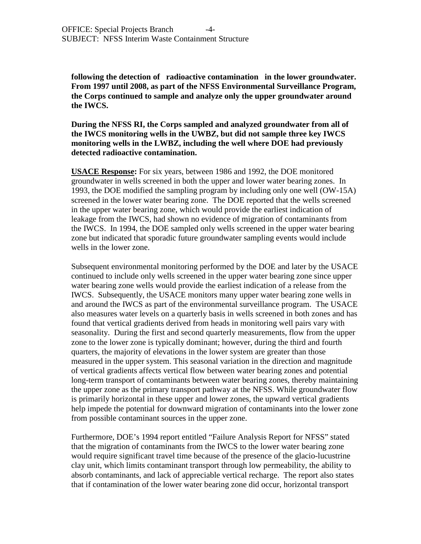**following the detection of radioactive contamination in the lower groundwater. From 1997 until 2008, as part of the NFSS Environmental Surveillance Program, the Corps continued to sample and analyze only the upper groundwater around the IWCS.**

**During the NFSS RI, the Corps sampled and analyzed groundwater from all of the IWCS monitoring wells in the UWBZ, but did not sample three key IWCS monitoring wells in the LWBZ, including the well where DOE had previously detected radioactive contamination.**

**USACE Response:** For six years, between 1986 and 1992, the DOE monitored groundwater in wells screened in both the upper and lower water bearing zones. In 1993, the DOE modified the sampling program by including only one well (OW-15A) screened in the lower water bearing zone. The DOE reported that the wells screened in the upper water bearing zone, which would provide the earliest indication of leakage from the IWCS, had shown no evidence of migration of contaminants from the IWCS. In 1994, the DOE sampled only wells screened in the upper water bearing zone but indicated that sporadic future groundwater sampling events would include wells in the lower zone.

Subsequent environmental monitoring performed by the DOE and later by the USACE continued to include only wells screened in the upper water bearing zone since upper water bearing zone wells would provide the earliest indication of a release from the IWCS. Subsequently, the USACE monitors many upper water bearing zone wells in and around the IWCS as part of the environmental surveillance program. The USACE also measures water levels on a quarterly basis in wells screened in both zones and has found that vertical gradients derived from heads in monitoring well pairs vary with seasonality. During the first and second quarterly measurements, flow from the upper zone to the lower zone is typically dominant; however, during the third and fourth quarters, the majority of elevations in the lower system are greater than those measured in the upper system. This seasonal variation in the direction and magnitude of vertical gradients affects vertical flow between water bearing zones and potential long-term transport of contaminants between water bearing zones, thereby maintaining the upper zone as the primary transport pathway at the NFSS. While groundwater flow is primarily horizontal in these upper and lower zones, the upward vertical gradients help impede the potential for downward migration of contaminants into the lower zone from possible contaminant sources in the upper zone.

Furthermore, DOE's 1994 report entitled "Failure Analysis Report for NFSS" stated that the migration of contaminants from the IWCS to the lower water bearing zone would require significant travel time because of the presence of the glacio-lucustrine clay unit, which limits contaminant transport through low permeability, the ability to absorb contaminants, and lack of appreciable vertical recharge. The report also states that if contamination of the lower water bearing zone did occur, horizontal transport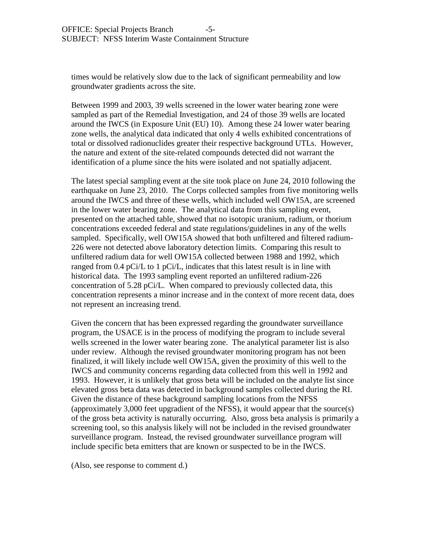times would be relatively slow due to the lack of significant permeability and low groundwater gradients across the site.

Between 1999 and 2003, 39 wells screened in the lower water bearing zone were sampled as part of the Remedial Investigation, and 24 of those 39 wells are located around the IWCS (in Exposure Unit (EU) 10). Among these 24 lower water bearing zone wells, the analytical data indicated that only 4 wells exhibited concentrations of total or dissolved radionuclides greater their respective background UTLs. However, the nature and extent of the site-related compounds detected did not warrant the identification of a plume since the hits were isolated and not spatially adjacent.

The latest special sampling event at the site took place on June 24, 2010 following the earthquake on June 23, 2010. The Corps collected samples from five monitoring wells around the IWCS and three of these wells, which included well OW15A, are screened in the lower water bearing zone. The analytical data from this sampling event, presented on the attached table, showed that no isotopic uranium, radium, or thorium concentrations exceeded federal and state regulations/guidelines in any of the wells sampled. Specifically, well OW15A showed that both unfiltered and filtered radium-226 were not detected above laboratory detection limits. Comparing this result to unfiltered radium data for well OW15A collected between 1988 and 1992, which ranged from 0.4 pCi/L to 1 pCi/L, indicates that this latest result is in line with historical data. The 1993 sampling event reported an unfiltered radium-226 concentration of 5.28 pCi/L. When compared to previously collected data, this concentration represents a minor increase and in the context of more recent data, does not represent an increasing trend.

Given the concern that has been expressed regarding the groundwater surveillance program, the USACE is in the process of modifying the program to include several wells screened in the lower water bearing zone. The analytical parameter list is also under review. Although the revised groundwater monitoring program has not been finalized, it will likely include well OW15A, given the proximity of this well to the IWCS and community concerns regarding data collected from this well in 1992 and 1993. However, it is unlikely that gross beta will be included on the analyte list since elevated gross beta data was detected in background samples collected during the RI. Given the distance of these background sampling locations from the NFSS (approximately 3,000 feet upgradient of the NFSS), it would appear that the source(s) of the gross beta activity is naturally occurring. Also, gross beta analysis is primarily a screening tool, so this analysis likely will not be included in the revised groundwater surveillance program. Instead, the revised groundwater surveillance program will include specific beta emitters that are known or suspected to be in the IWCS.

(Also, see response to comment d.)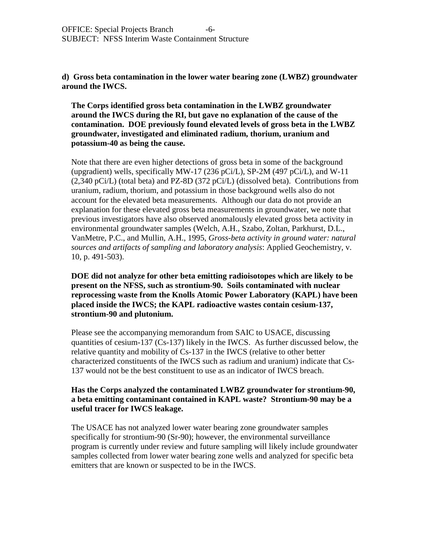**d) Gross beta contamination in the lower water bearing zone (LWBZ) groundwater around the IWCS.**

**The Corps identified gross beta contamination in the LWBZ groundwater around the IWCS during the RI, but gave no explanation of the cause of the contamination. DOE previously found elevated levels of gross beta in the LWBZ groundwater, investigated and eliminated radium, thorium, uranium and potassium-40 as being the cause.**

Note that there are even higher detections of gross beta in some of the background (upgradient) wells, specifically MW-17 (236 pCi/L), SP-2M (497 pCi/L), and W-11 (2,340 pCi/L) (total beta) and PZ-8D (372 pCi/L) (dissolved beta). Contributions from uranium, radium, thorium, and potassium in those background wells also do not account for the elevated beta measurements. Although our data do not provide an explanation for these elevated gross beta measurements in groundwater, we note that previous investigators have also observed anomalously elevated gross beta activity in environmental groundwater samples (Welch, A.H., Szabo, Zoltan, Parkhurst, D.L., VanMetre, P.C., and Mullin, A.H., 1995, *Gross-beta activity in ground water: natural sources and artifacts of sampling and laboratory analysis*: Applied Geochemistry, v. 10, p. 491-503).

**DOE did not analyze for other beta emitting radioisotopes which are likely to be present on the NFSS, such as strontium-90. Soils contaminated with nuclear reprocessing waste from the Knolls Atomic Power Laboratory (KAPL) have been placed inside the IWCS; the KAPL radioactive wastes contain cesium-137, strontium-90 and plutonium.**

Please see the accompanying memorandum from SAIC to USACE, discussing quantities of cesium-137 (Cs-137) likely in the IWCS. As further discussed below, the relative quantity and mobility of Cs-137 in the IWCS (relative to other better characterized constituents of the IWCS such as radium and uranium) indicate that Cs-137 would not be the best constituent to use as an indicator of IWCS breach.

## **Has the Corps analyzed the contaminated LWBZ groundwater for strontium-90, a beta emitting contaminant contained in KAPL waste? Strontium-90 may be a useful tracer for IWCS leakage.**

The USACE has not analyzed lower water bearing zone groundwater samples specifically for strontium-90 (Sr-90); however, the environmental surveillance program is currently under review and future sampling will likely include groundwater samples collected from lower water bearing zone wells and analyzed for specific beta emitters that are known or suspected to be in the IWCS.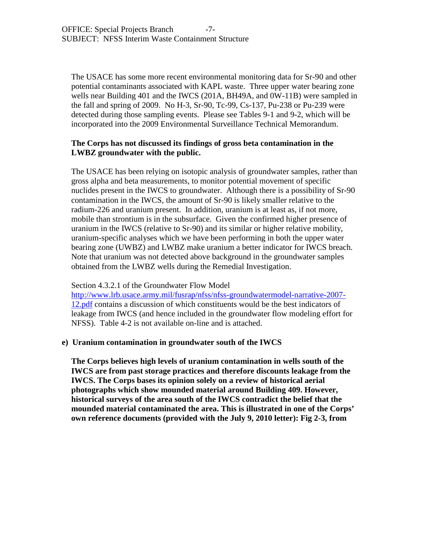The USACE has some more recent environmental monitoring data for Sr-90 and other potential contaminants associated with KAPL waste. Three upper water bearing zone wells near Building 401 and the IWCS (201A, BH49A, and 0W-11B) were sampled in the fall and spring of 2009. No H-3, Sr-90, Tc-99, Cs-137, Pu-238 or Pu-239 were detected during those sampling events. Please see Tables 9-1 and 9-2, which will be incorporated into the 2009 Environmental Surveillance Technical Memorandum.

## **The Corps has not discussed its findings of gross beta contamination in the LWBZ groundwater with the public.**

The USACE has been relying on isotopic analysis of groundwater samples, rather than gross alpha and beta measurements, to monitor potential movement of specific nuclides present in the IWCS to groundwater. Although there is a possibility of Sr-90 contamination in the IWCS, the amount of Sr-90 is likely smaller relative to the radium-226 and uranium present. In addition, uranium is at least as, if not more, mobile than strontium is in the subsurface. Given the confirmed higher presence of uranium in the IWCS (relative to Sr-90) and its similar or higher relative mobility, uranium-specific analyses which we have been performing in both the upper water bearing zone (UWBZ) and LWBZ make uranium a better indicator for IWCS breach. Note that uranium was not detected above background in the groundwater samples obtained from the LWBZ wells during the Remedial Investigation.

## Section 4.3.2.1 of the Groundwater Flow Model

[http://www.lrb.usace.army.mil/fusrap/nfss/nfss-groundwatermodel-narrative-2007-](http://www.lrb.usace.army.mil/fusrap/nfss/nfss-groundwatermodel-narrative-2007-12.pdf) [12.pdf](http://www.lrb.usace.army.mil/fusrap/nfss/nfss-groundwatermodel-narrative-2007-12.pdf) contains a discussion of which constituents would be the best indicators of leakage from IWCS (and hence included in the groundwater flow modeling effort for NFSS). Table 4-2 is not available on-line and is attached.

## **e) Uranium contamination in groundwater south of the IWCS**

**The Corps believes high levels of uranium contamination in wells south of the IWCS are from past storage practices and therefore discounts leakage from the IWCS. The Corps bases its opinion solely on a review of historical aerial photographs which show mounded material around Building 409. However, historical surveys of the area south of the IWCS contradict the belief that the mounded material contaminated the area. This is illustrated in one of the Corps' own reference documents (provided with the July 9, 2010 letter): Fig 2-3, from**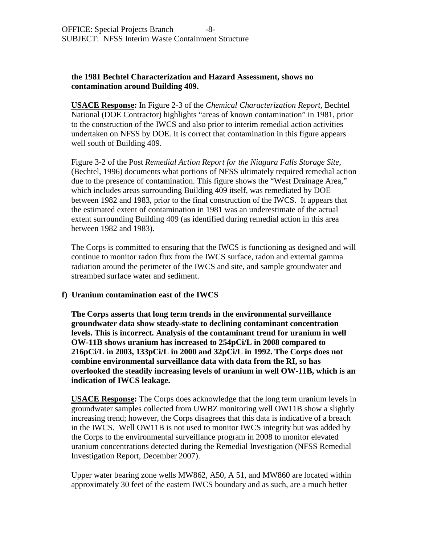## **the 1981 Bechtel Characterization and Hazard Assessment, shows no contamination around Building 409.**

**USACE Response:** In Figure 2-3 of the *Chemical Characterization Report,* Bechtel National (DOE Contractor) highlights "areas of known contamination" in 1981, prior to the construction of the IWCS and also prior to interim remedial action activities undertaken on NFSS by DOE. It is correct that contamination in this figure appears well south of Building 409.

Figure 3-2 of the Post *Remedial Action Report for the Niagara Falls Storage Site,* (Bechtel, 1996) documents what portions of NFSS ultimately required remedial action due to the presence of contamination. This figure shows the "West Drainage Area," which includes areas surrounding Building 409 itself, was remediated by DOE between 1982 and 1983, prior to the final construction of the IWCS. It appears that the estimated extent of contamination in 1981 was an underestimate of the actual extent surrounding Building 409 (as identified during remedial action in this area between 1982 and 1983).

The Corps is committed to ensuring that the IWCS is functioning as designed and will continue to monitor radon flux from the IWCS surface, radon and external gamma radiation around the perimeter of the IWCS and site, and sample groundwater and streambed surface water and sediment.

## **f) Uranium contamination east of the IWCS**

**The Corps asserts that long term trends in the environmental surveillance groundwater data show steady-state to declining contaminant concentration levels. This is incorrect. Analysis of the contaminant trend for uranium in well OW-11B shows uranium has increased to 254pCi/L in 2008 compared to 216pCi/L in 2003, 133pCi/L in 2000 and 32pCi/L in 1992. The Corps does not combine environmental surveillance data with data from the RI, so has overlooked the steadily increasing levels of uranium in well OW-11B, which is an indication of IWCS leakage.** 

**USACE Response:** The Corps does acknowledge that the long term uranium levels in groundwater samples collected from UWBZ monitoring well OW11B show a slightly increasing trend; however, the Corps disagrees that this data is indicative of a breach in the IWCS. Well OW11B is not used to monitor IWCS integrity but was added by the Corps to the environmental surveillance program in 2008 to monitor elevated uranium concentrations detected during the Remedial Investigation (NFSS Remedial Investigation Report, December 2007).

Upper water bearing zone wells MW862, A50, A 51, and MW860 are located within approximately 30 feet of the eastern IWCS boundary and as such, are a much better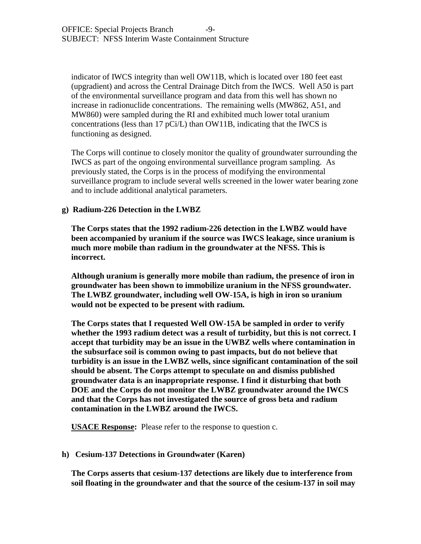indicator of IWCS integrity than well OW11B, which is located over 180 feet east (upgradient) and across the Central Drainage Ditch from the IWCS. Well A50 is part of the environmental surveillance program and data from this well has shown no increase in radionuclide concentrations. The remaining wells (MW862, A51, and MW860) were sampled during the RI and exhibited much lower total uranium concentrations (less than 17 pCi/L) than OW11B, indicating that the IWCS is functioning as designed.

The Corps will continue to closely monitor the quality of groundwater surrounding the IWCS as part of the ongoing environmental surveillance program sampling. As previously stated, the Corps is in the process of modifying the environmental surveillance program to include several wells screened in the lower water bearing zone and to include additional analytical parameters.

## **g) Radium-226 Detection in the LWBZ**

**The Corps states that the 1992 radium-226 detection in the LWBZ would have been accompanied by uranium if the source was IWCS leakage, since uranium is much more mobile than radium in the groundwater at the NFSS. This is incorrect.** 

**Although uranium is generally more mobile than radium, the presence of iron in groundwater has been shown to immobilize uranium in the NFSS groundwater. The LWBZ groundwater, including well OW-15A, is high in iron so uranium would not be expected to be present with radium.** 

**The Corps states that I requested Well OW-15A be sampled in order to verify whether the 1993 radium detect was a result of turbidity, but this is not correct. I accept that turbidity may be an issue in the UWBZ wells where contamination in the subsurface soil is common owing to past impacts, but do not believe that turbidity is an issue in the LWBZ wells, since significant contamination of the soil should be absent. The Corps attempt to speculate on and dismiss published groundwater data is an inappropriate response. I find it disturbing that both DOE and the Corps do not monitor the LWBZ groundwater around the IWCS and that the Corps has not investigated the source of gross beta and radium contamination in the LWBZ around the IWCS.** 

**USACE Response:** Please refer to the response to question c.

## **h) Cesium-137 Detections in Groundwater (Karen)**

**The Corps asserts that cesium-137 detections are likely due to interference from soil floating in the groundwater and that the source of the cesium-137 in soil may**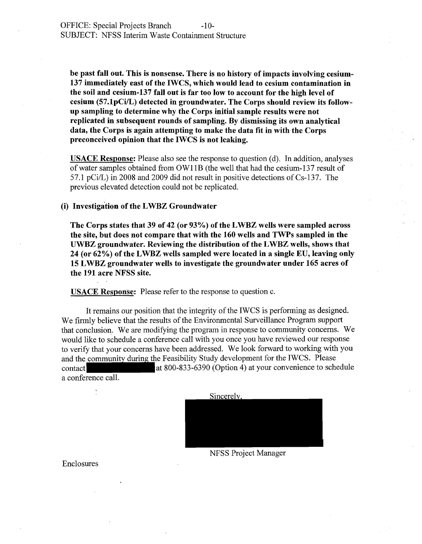be past fall out. This is nonsense. There is no history of impacts involving cesium-137 immediately east of the IWCS, which would lead to cesium contamination in the soil and cesium-137 fall out is far too low to account for the high level of cesium (57.1pCi/L) detected in groundwater. The Corps should review its followup sampling to determine why the Corps initial sample results were not replicated in subsequent rounds of sampling. By dismissing its own analytical data, the Corps is again attempting to make the data fit in with the Corps preconceived opinion that the IWCS is not leaking.

USACE Response: Please also see the response to question (d). In addition, analyses of water samples obtained from OWIIB (the well that had the cesium-137 result of 57.1 pCi/L) in 2008 and 2009 did not result in positive detections of  $Cs-137$ . The previous elevated detection could not be replicated.

### (i) Investigation of the L WBZ Groundwater

The Corps states that 39 of 42 (or 93%) of the LWBZ wells were sampled across the site, but does not compare that with the 160 wells and TWPs sampled in the UWBZ groundwater. Reviewing the distribution of the L WBZ wells, shows that 24 (or 62%) of the LWBZ wells sampled were located in a single EU, leaving only 15 L WBZ groundwater wells to investigate the groundwater under 165 acres of the 191 acre NFSS site.

USACE Response: Please refer to the response to question c.

It remains our position that the integrity of the IWCS is performing as designed. We firmly believe that the results of the Environmental Surveillance Program support that conclusion. We are modifying the program in response to community concerns. We would like to schedule a conference call with you once you have reviewed our response<br>to verify that your concerns have been addressed. We look forward to working with you<br>and the community during the Feasibility Study de to verify that your concerns have been addressed. We look forward to working with you and the community during the Feasibility Study development for the IWCS. Please<br>contact<br>at 800-833-6390 (Option 4) at your convenience to schedule a conference call.



NFSS Project Manager

Enclosures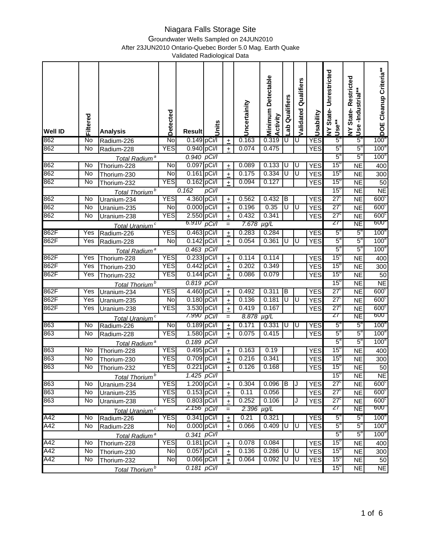Groundwater Wells Sampled on 24JUN2010

After 23JUN2010 Ontario-Quebec Border 5.0 Mag. Earth Quake

| <b>Well ID</b> | Filtered | <b>Analysis</b>            | Detected             | <b>Result</b>                | Units |                      | Uncertainity      | <b>Minimum Detectable</b><br>Activity | Qualifiers<br>ಕ್ಕೆ      | Validated Qualifiers | Usability  | State-Unrestricted<br><b>Use**</b><br>$\geq$ | State-Restricted<br>-Industrial**<br><b>Use</b><br>$\geq$ | DOE Cleanup Criteria**               |
|----------------|----------|----------------------------|----------------------|------------------------------|-------|----------------------|-------------------|---------------------------------------|-------------------------|----------------------|------------|----------------------------------------------|-----------------------------------------------------------|--------------------------------------|
| 862            | No       | Radium-226                 | No                   | 0.149 pCi/l                  |       | $\pm$                | 0.163             | 0.319                                 | U                       | U                    | <b>YES</b> | $5^{\circ}$                                  | $5^{\circ}$                                               | 100 <sup>a</sup>                     |
| 862            | No       | Radium-228                 | <b>YES</b>           | 0.940 pCi/l                  |       | $\pm$                | 0.074             | 0.475                                 |                         |                      | <b>YES</b> | $5^{\circ}$                                  | $5^{\circ}$                                               | 100 <sup>a</sup>                     |
|                |          | Total Radium <sup>a</sup>  |                      | $0.940$ $pCi/l$              |       |                      |                   |                                       |                         |                      |            | $5^a$                                        | $5^a$                                                     | 100 <sup>a</sup>                     |
| 862            | No       | Thorium-228                | No                   | 0.097 pCi/l                  |       | $\pm$                | 0.089             | 0.133                                 | U                       | U                    | <b>YES</b> | $15^{\circ}$                                 | <b>NE</b>                                                 | 400                                  |
| 862            | No       | Thorium-230                | $\overline{N}$       | $0.161$ pCi/l                |       | $\pm$                | 0.175             | 0.334                                 | U                       | U                    | <b>YES</b> | 15 <sup>o</sup>                              | <b>NE</b>                                                 | 300                                  |
| 862            | No       | Thorium-232                | <b>YES</b>           | 0.162 pCi/l                  |       | $\ddot{}$            | 0.094             | 0.127                                 |                         |                      | <b>YES</b> | 15 <sup>o</sup>                              | $\overline{NE}$                                           | 50                                   |
|                |          | Total Thorium <sup>b</sup> |                      | 0.162                        | pCi/l |                      |                   |                                       |                         |                      |            | 15 <sup>o</sup>                              | <b>NE</b>                                                 | N <sub>E</sub>                       |
| 862            | No       | Uranium-234                | <b>YES</b>           | 4.360 pCi/l                  |       | $\pm$                | 0.562             | 0.432                                 | B                       |                      | <b>YES</b> | $27^{\circ}$                                 | <b>NE</b>                                                 | 600 <sub>c</sub>                     |
| 862            | No       | Uranium-235                | No                   | 0.000 pCi/l                  |       | $\pm$                | 0.196             | 0.35                                  | U                       | U                    | <b>YES</b> | $27^{\circ}$                                 | $\overline{NE}$                                           | 600 <sub>c</sub>                     |
| 862            | No       | Uranium-238                | <b>YES</b>           | 2.550 pCi/l                  |       | $\pm$                | 0.432             | 0.341                                 |                         |                      | <b>YES</b> | $27^{\circ}$                                 | $\overline{\sf NE}$                                       | 600 <sub>c</sub>                     |
|                |          | Total Uranium <sup>c</sup> |                      | 6.910                        | pCi/l | $=$                  | 7.678             | $\mu g/L$                             |                         |                      |            | 27                                           | NE                                                        | $600^{\circ}$                        |
| 862F           | Yes      | Radium-226                 | <b>YES</b>           | 0.463 pCi/l                  |       | $\ddot{}$            | 0.283             | 0.284                                 |                         |                      | <b>YES</b> | $5^{\circ}$                                  | $5^{\circ}$                                               | 100 <sup>a</sup>                     |
| 862F           | Yes      | Radium-228                 | No                   | 0.142 pCi/l                  |       | $\pm$                | 0.054             | 0.361                                 | U                       | Ū                    | <b>YES</b> | $5^a$                                        | $5^a$                                                     | 100 <sup>a</sup>                     |
|                |          | Total Radium <sup>a</sup>  |                      | $0.463$ $pCi/l$              |       |                      |                   |                                       |                         |                      |            | $5^{\text{a}}$                               | $5^{\circ}$                                               | 100 <sup>a</sup>                     |
| 862F           | Yes      | Thorium-228                | <b>YES</b>           | 0.233 pCi/l                  |       | $\overline{+}$       | 0.114             | 0.114                                 |                         |                      | <b>YES</b> | $15^{\circ}$                                 | $\overline{\sf NE}$                                       | 400                                  |
| 862F           | Yes      | Thorium-230                | <b>YES</b>           | 0.442 pCi/l                  |       | $\pm$                | 0.202             | 0.349                                 |                         |                      | <b>YES</b> | 15 <sup>o</sup>                              | <b>NE</b>                                                 | 300                                  |
| 862F           | Yes      | Thorium-232                | <b>YES</b>           | 0.144 pCi/l                  |       | $\overline{+}$       | 0.086             | 0.079                                 |                         |                      | <b>YES</b> | 15 <sup>o</sup>                              | $\overline{NE}$                                           | 50                                   |
|                |          | Total Thorium <sup>b</sup> |                      | 0.819 pCi/l                  |       |                      |                   |                                       |                         |                      |            | 15 <sup>o</sup>                              | $\overline{NE}$                                           | N <sub>E</sub>                       |
| 862F           | Yes      | Uranium-234                | <b>YES</b>           | 4.460 pCi/l                  |       | $\ddot{\phantom{1}}$ | 0.492             | 0.311                                 | B                       |                      | <b>YES</b> | $27^{\circ}$                                 | <b>NE</b>                                                 | 600 <sub>c</sub>                     |
| 862F           | Yes      | Uranium-235                | No                   | 0.180 pCi/l                  |       | $\ddot{\phantom{1}}$ | 0.136             | 0.181                                 | U                       | Ū                    | <b>YES</b> | $27^{\circ}$                                 | $\overline{NE}$                                           | 600 <sub>c</sub>                     |
| 862F           | Yes      | Uranium-238                | <b>YES</b>           | 3.530 pCi/l                  |       | $\ddot{\phantom{1}}$ | 0.419             | 0.167                                 |                         |                      | <b>YES</b> | $27^{\circ}$                                 | $\overline{\sf NE}$                                       | 600 <sub>c</sub>                     |
|                |          | Total Uranium <sup>c</sup> |                      | 7.990                        | pCi/l | $=$                  | 8.878             | $\mu g/L$                             |                         |                      |            | 27                                           | <b>NE</b>                                                 | 600                                  |
| 863            | No       | Radium-226                 | No                   | 0.189 pCi/l                  |       | $\pm$                | 0.171             | 0.331                                 | U                       | U                    | <b>YES</b> | $5^{\circ}$                                  | $5^{\circ}$                                               | 100 <sup>a</sup>                     |
| 863            | No       | Radium-228                 | <b>YES</b>           | 1.580 pCi/l                  |       | $\ddot{}$            | 0.075             | 0.415                                 |                         |                      | <b>YES</b> | $5^a$                                        | $5^{\circ}$                                               | 100 <sup>a</sup>                     |
|                |          | Total Radium <sup>a</sup>  |                      | 0.189 pCi/l                  |       |                      |                   |                                       |                         |                      |            | $5^{\circ}$                                  | $5^a$                                                     | 100 <sup>a</sup>                     |
| 863            | No       | Thorium-228                | <b>YES</b>           | 0.495 pCi/l                  |       | $\pm$                | 0.163             | 0.19                                  |                         |                      | <b>YES</b> | 15 <sup>o</sup>                              | <b>NE</b>                                                 | 400                                  |
| 863            | No       | Thorium-230                | <b>YES</b>           | 0.709 pCi/l                  |       | $\pm$                | 0.216             | 0.341                                 |                         |                      | <b>YES</b> | $15^{\circ}$                                 | $\overline{NE}$                                           | 300                                  |
| 863            | No       | Thorium-232                | <b>YES</b>           | 0.221 pCi/l                  |       | $\ddot{\phantom{1}}$ | 0.126             | 0.168                                 |                         |                      | <b>YES</b> | 15 <sup>o</sup>                              | <b>NE</b>                                                 | 50                                   |
|                |          | Total Thorium <sup>b</sup> |                      | 1.425 pCi/l                  |       |                      |                   |                                       |                         |                      |            | 15 <sup>o</sup>                              | <b>NE</b>                                                 | <b>NE</b>                            |
| 863            | No       | Uranium-234                | <b>YES</b>           | 1.200 pCi/l                  |       | $\pm$                | 0.304             | 0.096                                 | B                       | J                    | <b>YES</b> | $27^{\circ}$                                 | <b>NE</b>                                                 | 600 <sub>c</sub>                     |
| 863            | No       | Uranium-235                | <b>YES</b>           | 0.153 pCi/l                  |       | $\ddot{}$            | 0.11              | 0.056                                 |                         |                      | <b>YES</b> | $27^{\circ}$                                 | <b>NE</b>                                                 | 600 <sub>c</sub>                     |
| 863            | No       | Uranium-238                | <b>YES</b>           | 0.803 pCi/l<br>$2.156$ pCi/l |       | $\pm$                | 0.252             | 0.106                                 |                         | J                    | <b>YES</b> | $27^{\circ}$<br>27                           | <b>NE</b>                                                 | 600 <sub>c</sub><br>600              |
|                |          | Total Uranium <sup>c</sup> |                      |                              |       | $=$                  | $2.396$ $\mu$ g/L |                                       |                         |                      |            |                                              | NE                                                        |                                      |
| A42            | No       | Radium-226                 | <b>YES</b>           | 0.341 pCi/l                  |       | $\pm$                | 0.21              | 0.321                                 |                         |                      | <b>YES</b> | $5^{\circ}$<br>$5^a$                         | $5^{\circ}$<br>$5^a$                                      | 100 <sup>a</sup><br>100 <sup>a</sup> |
| A42            | No       | Radium-228                 | No                   | 0.000 pCi/l                  |       | $\boldsymbol{+}$     | 0.066             | 0.409                                 | U                       | U                    | <b>YES</b> | $5^a$                                        | $5^a$                                                     | 100 <sup>a</sup>                     |
|                |          | Total Radium <sup>a</sup>  |                      | $0.341$ pCi/l                |       |                      |                   |                                       |                         |                      |            | 15 <sup>o</sup>                              |                                                           |                                      |
| A42            | No       | Thorium-228                | <b>YES</b>           | 0.181 pCi/l                  |       | $\color{red}{+}$     | 0.078             | 0.084                                 | $\overline{\mathsf{U}}$ |                      | <b>YES</b> | 15 <sup>o</sup>                              | <b>NE</b>                                                 | 400                                  |
| A42<br>A42     | No<br>No | Thorium-230                | $\overline{N}$<br>No | 0.057 pCi/l                  |       | $\ddot{\phantom{1}}$ | 0.136<br>0.064    | 0.286<br>0.092                        | U                       | U<br>U               | <b>YES</b> | 15 <sup>o</sup>                              | <b>NE</b>                                                 | 300                                  |
|                |          | Thorium-232                |                      | 0.066 pCi/l<br>$0.181$ pCi/l |       | $\ddot{\phantom{1}}$ |                   |                                       |                         |                      | <b>YES</b> | 15 <sup>o</sup>                              | <b>NE</b>                                                 | 50                                   |
|                |          | Total Thorium <sup>b</sup> |                      |                              |       |                      |                   |                                       |                         |                      |            |                                              | <b>NE</b>                                                 | <b>NE</b>                            |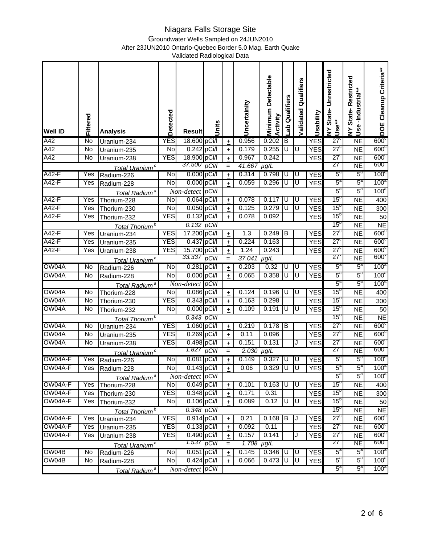Groundwater Wells Sampled on 24JUN2010

After 23JUN2010 Ontario-Quebec Border 5.0 Mag. Earth Quake

| <b>Well ID</b> | Filtered         | <b>Analysis</b>                           | Detected       | <b>Result</b>                          | Units    |                      | Uncertainity      | <b>Detectable</b><br>Minimum<br>Activity | Qualifiers<br>ಕ್ಕೆ | Validated Qualifiers    | Usability                | State-Unrestricted<br>Use**<br>$\boldsymbol{\Sigma}$ | State-Restricted<br>Use-Industrial**<br>$\boldsymbol{\Sigma}$ | DOE Cleanup Criteria**               |
|----------------|------------------|-------------------------------------------|----------------|----------------------------------------|----------|----------------------|-------------------|------------------------------------------|--------------------|-------------------------|--------------------------|------------------------------------------------------|---------------------------------------------------------------|--------------------------------------|
| A42            | No               | Uranium-234                               | <b>YES</b>     | 18.600 pCi/l                           |          | $\color{red}{+}$     | 0.956             | 0.202                                    | В                  |                         | <b>YES</b>               | $27^{\circ}$                                         | $\overline{NE}$                                               | 600 <sub>c</sub>                     |
| A42            | No               | Uranium-235                               | $\overline{N}$ | 0.242 pCi/l                            |          | $\pm$                | 0.179             | 0.255                                    | U                  | U                       | <b>YES</b>               | $27^{\circ}$                                         | <b>NE</b>                                                     | 600 <sup>c</sup>                     |
| A42            | No               | Uranium-238                               | <b>YES</b>     | 18.900 pCi/l                           |          | $\pm$                | 0.967             | 0.242                                    |                    |                         | <b>YES</b>               | $27^{\circ}$                                         | $\overline{\sf NE}$                                           | 600 <sub>c</sub>                     |
|                |                  | Total Uranium <sup>c</sup>                |                | 37.500                                 | pCi/l    | $=$                  | 41.667            | $\mu g/L$                                |                    |                         |                          | 27                                                   | NE                                                            | 600                                  |
| A42-F          | Yes              | Radium-226                                | No             | 0.000 pCi/l                            |          | $\pm$                | 0.314             | 0.798                                    | U                  | U                       | <b>YES</b>               | $5^{\circ}$                                          | $5^{\circ}$                                                   | 100 <sup>a</sup>                     |
| A42-F          | Yes              | Radium-228                                | No             | 0.000 pCi/l                            |          | $\color{red}{+}$     | 0.059             | 0.296                                    | U                  | Ū                       | <b>YES</b>               | $5^a$                                                | $5^{\circ}$                                                   | 100 <sup>a</sup>                     |
|                |                  | Total Radium <sup>a</sup>                 |                | Non-detect pCi/l                       |          |                      |                   |                                          |                    |                         |                          | $5^{\mathrm{a}}$                                     | $5^{\circ}$                                                   | 100 <sup>a</sup>                     |
| A42-F          | Yes              | Thorium-228                               | No             | 0.064 pCi/l                            |          | $\ddot{\phantom{1}}$ | 0.078             | 0.117                                    | U                  | Ū                       | <b>YES</b>               | 15 <sup>o</sup>                                      | <b>NE</b>                                                     | 400                                  |
| A42-F          | Yes              | Thorium-230                               | No             | 0.050 pCi/l                            |          | $\ddot{\phantom{1}}$ | 0.125             | 0.279                                    | Ū                  | $\overline{\mathtt{U}}$ | <b>YES</b>               | 15 <sup>o</sup>                                      | $\overline{NE}$                                               | 300                                  |
| A42-F          | Yes              | Thorium-232                               | <b>YES</b>     | 0.132 pCi/l                            |          | $\pm$                | 0.078             | 0.092                                    |                    |                         | <b>YES</b>               | $15^{\circ}$                                         | N <sub>E</sub>                                                | 50                                   |
|                |                  | Total Thorium <sup>b</sup>                |                | $0.132$ $pCi/l$                        |          |                      |                   |                                          |                    |                         |                          | 15 <sup>o</sup>                                      | <b>NE</b>                                                     | <b>NE</b>                            |
| A42-F          | Yes              | Uranium-234                               | <b>YES</b>     | 17.200 pCi/l                           |          | $\ddot{}$            | 1.3               | 0.249                                    | B                  |                         | <b>YES</b>               | $27^{\circ}$                                         | $\overline{NE}$                                               | 600 <sub>c</sub>                     |
| $A42-F$        | Yes              | Uranium-235                               | <b>YES</b>     | 0.437 pCi/l                            |          | $\ddot{\phantom{1}}$ | 0.224             | 0.163                                    |                    |                         | <b>YES</b>               | $27^{\circ}$                                         | <b>NE</b>                                                     | 600 <sub>c</sub>                     |
| A42-F          | $\overline{Yes}$ | Uranium-238                               | <b>YES</b>     | 15.700 pCi/l<br>33.337                 |          | $\color{red}{+}$     | 1.24              | 0.243                                    |                    |                         | <b>YES</b>               | $27^{\circ}$<br>27                                   | <b>NE</b>                                                     | 600 <sub>c</sub><br>600 <sub>o</sub> |
|                |                  | Total Uranium <sup>c</sup>                |                |                                        | pCi/l    | $=$                  | 37.041            | $\mu g/L$                                |                    |                         |                          |                                                      | <b>NE</b>                                                     |                                      |
| OW04A          | No               | Radium-226                                | No             | 0.281 pCi/l                            |          | $\pm$                | 0.203             | 0.32                                     | D                  | U                       | <b>YES</b>               | $5^{\circ}$<br>$5^{\circ}$                           | $5^{\circ}$<br>$5^{\circ}$                                    | 100 <sup>a</sup>                     |
| OW04A          | No               | Radium-228                                | No             | 0.000 pCi/l                            |          | $\ddot{\phantom{1}}$ | 0.065             | 0.358                                    | U                  | U                       | <b>YES</b>               | $5^a$                                                | $5^{\circ}$                                                   | 100 <sup>a</sup><br>100 <sup>a</sup> |
| OW04A          | No               | Total Radium <sup>a</sup>                 | No             | Non-detect<br>0.086 pCi/l              | $p$ Ci/l |                      | 0.124             | 0.196                                    | U                  | U                       |                          | 15 <sup>o</sup>                                      |                                                               |                                      |
| OW04A          | No               | Thorium-228                               | <b>YES</b>     | 0.343 pCi/l                            |          | $\pm$                | 0.163             | 0.298                                    |                    |                         | <b>YES</b><br><b>YES</b> | 15 <sup>o</sup>                                      | <b>NE</b><br><b>NE</b>                                        | 400<br>300                           |
| OW04A          | No               | Thorium-230<br>Thorium-232                | No             | 0.000 pCi/l                            |          | $\pm$                | 0.109             | 0.191                                    | U                  | Ū                       | <b>YES</b>               | 15 <sup>o</sup>                                      | <b>NE</b>                                                     | 50                                   |
|                |                  |                                           |                | $0.343$ pCi/l                          |          | $\pm$                |                   |                                          |                    |                         |                          | 15 <sup>o</sup>                                      | <b>NE</b>                                                     | <b>NE</b>                            |
| OW04A          | No               | Total Thorium <sup>b</sup><br>Uranium-234 | <b>YES</b>     | 1.060 pCi/l                            |          | $\pm$                | 0.219             | 0.178                                    | B                  |                         | <b>YES</b>               | $27^{\circ}$                                         | $\overline{\sf NE}$                                           | 600 <sub>c</sub>                     |
| OW04A          | No               | Uranium-235                               | <b>YES</b>     | 0.269 pCi/l                            |          | $\ddot{}$            | 0.11              | 0.096                                    |                    |                         | <b>YES</b>               | $27^{\circ}$                                         | <b>NE</b>                                                     | 600 <sub>c</sub>                     |
| OW04A          | No               | Uranium-238                               | <b>YES</b>     | 0.498 pCi/l                            |          | $\pm$                | 0.151             | 0.131                                    |                    | J                       | <b>YES</b>               | $27^{\circ}$                                         | $\overline{\sf NE}$                                           | 600 <sub>c</sub>                     |
|                |                  | Total Uranium <sup>c</sup>                |                | 1.827                                  | pCi/l    | $=$                  | $2.030$ $\mu$ g/L |                                          |                    |                         |                          | 27                                                   | <b>NE</b>                                                     | 600                                  |
| OW04A-F        | Yes              | Radium-226                                | No             | 0.081 pCi/l                            |          | $\pm$                | 0.149             | 0.327                                    | U                  | U                       | <b>YES</b>               | $5^{\circ}$                                          | $5^{\circ}$                                                   | 100 <sup>a</sup>                     |
| OW04A-F        | Yes              | Radium-228                                | <b>No</b>      | $0.143$ pCi/l                          |          | $+$                  | 0.06              | 0.329                                    | שו                 | ĪŪ                      | <b>YES</b>               | $5^a$                                                | $5^a$                                                         | 100 <sup>a</sup>                     |
|                |                  | Total Radium <sup>a</sup>                 |                | Non-detect pCi/l                       |          |                      |                   |                                          |                    |                         |                          | $5^a$                                                | $5^a$                                                         | $100^a$                              |
| OW04A-F        | Yes              | Thorium-228                               | <b>No</b>      | 0.049 pCi/l                            |          | $\pm$                | 0.101             | 0.163                                    | U                  | U                       | <b>YES</b>               | 15 <sup>o</sup>                                      | <b>NE</b>                                                     | 400                                  |
| OW04A-F        | Yes              | Thorium-230                               | <b>YES</b>     | 0.348 pCi/l                            |          | $\color{red}{+}$     | 0.171             | 0.31                                     |                    |                         | <b>YES</b>               | 15 <sup>o</sup>                                      | <b>NE</b>                                                     | 300                                  |
| OW04A-F        | Yes              | Thorium-232                               | No             | 0.106 pCi/l                            |          | $\pm$                | 0.089             | 0.12                                     | U                  | U                       | <b>YES</b>               | 15 <sup>o</sup>                                      | <b>NE</b>                                                     | 50                                   |
|                |                  | Total Thorium <sup>b</sup>                |                | $0.348$ pCi/l                          |          |                      |                   |                                          |                    |                         |                          | 15 <sup>o</sup>                                      | <b>NE</b>                                                     | <b>NE</b>                            |
| OW04A-F        | Yes              | Uranium-234                               | <b>YES</b>     | 0.914 pCi/l                            |          | $\ddot{\phantom{1}}$ | 0.21              | 0.168                                    | ΤB                 |                         | <b>YES</b>               | $27^{\circ}$                                         | <b>NE</b>                                                     | 600 <sub>c</sub>                     |
| OW04A-F        | Yes              | Uranium-235                               | <b>YES</b>     | 0.133 pCi/l                            |          | $\ddot{\phantom{1}}$ | 0.092             | 0.11                                     |                    |                         | <b>YES</b>               | $27^{\circ}$                                         | <b>NE</b>                                                     | $600^\circ$                          |
| OW04A-F        | Yes              | Uranium-238                               | <b>YES</b>     | 0.490 pCi/l                            |          | $\ddot{}$            | 0.157             | 0.141                                    |                    | J                       | <b>YES</b>               | $27^{\circ}$                                         | <b>NE</b>                                                     | 600 <sup>c</sup>                     |
|                |                  | Total Uranium <sup>c</sup>                |                | 1.537 pCi/l                            |          | $=$                  | $1.708$ $\mu$ g/L |                                          |                    |                         |                          | 27                                                   | NE                                                            | 600                                  |
| OW04B          | No               | Radium-226                                | No             | $0.051$ pCi/l                          |          | $\ddot{\phantom{1}}$ | 0.145             | $0.346$ U                                |                    | U                       | <b>YES</b>               | $5^{\circ}$                                          | $5^{\circ}$                                                   | 100 <sup>a</sup>                     |
| OW04B          | No               | Radium-228                                | No             | 0.424 pCi/l                            |          | $+$                  | 0.066             | 0.473                                    | U                  | U                       | <b>YES</b>               | $5^a$                                                | $5^a$                                                         | 100 <sup>a</sup>                     |
|                |                  | Total Radium <sup>a</sup>                 |                | $Non-detect$ <sub>pCi</sub> $\sqrt{1}$ |          |                      |                   |                                          |                    |                         |                          | $5^a$                                                | $5^a$                                                         | 100 <sup>a</sup>                     |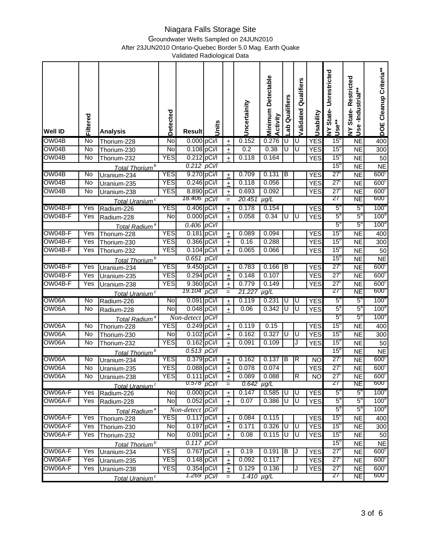Groundwater Wells Sampled on 24JUN2010

After 23JUN2010 Ontario-Quebec Border 5.0 Mag. Earth Quake

| <b>Well ID</b>     | Filtered       | <b>Analysis</b>                          | Detected                 | <b>Result</b>                | Units |                      | Uncertainity             | <b>Detectable</b><br>Minimum<br>Activity | Qualifiers<br>ಕ್ಕೆ | Validated Qualifiers | Usability  | State-Unrestricted<br>Use**<br>$\boldsymbol{\Sigma}$ | State-Restricted<br>Use-Industrial**<br>$\boldsymbol{\Sigma}$ | DOE Cleanup Criteria**             |
|--------------------|----------------|------------------------------------------|--------------------------|------------------------------|-------|----------------------|--------------------------|------------------------------------------|--------------------|----------------------|------------|------------------------------------------------------|---------------------------------------------------------------|------------------------------------|
| OW04B              | No             | Thorium-228                              | No                       | 0.000 pCi/l                  |       | $\boldsymbol{+}$     | 0.152                    | 0.276                                    | U                  | U                    | <b>YES</b> | 15 <sup>o</sup>                                      | $\overline{\sf NE}$                                           | 400                                |
| OW04B              | $\overline{N}$ | Thorium-230                              | No                       | 0.108 pCi/l                  |       | $\pm$                | 0.2                      | 0.38                                     | U                  | U                    | <b>YES</b> | $15^{\circ}$                                         | <b>NE</b>                                                     | 300                                |
| OW04B              | No             | Thorium-232                              | <b>YES</b>               | 0.212 pCi/l                  |       | $\pm$                | 0.118                    | 0.164                                    |                    |                      | <b>YES</b> | 15 <sup>o</sup>                                      | <b>NE</b>                                                     | 50                                 |
|                    |                | Total Thorium <sup>b</sup>               |                          | $0.212$ pCi/l                |       |                      |                          |                                          |                    |                      |            | 15 <sup>o</sup>                                      | <b>NE</b>                                                     | N <sub>E</sub>                     |
| OW04B              | No             | Uranium-234                              | <b>YES</b>               | 9.270 pCi/l                  |       | $\pm$                | 0.709                    | 0.131                                    | B                  |                      | <b>YES</b> | $27^{\circ}$                                         | <b>NE</b>                                                     | 600 <sup>c</sup>                   |
| OW04B              | No             | Uranium-235                              | <b>YES</b>               | 0.246 pCi/l                  |       | $\ddot{}$            | 0.118                    | 0.056                                    |                    |                      | <b>YES</b> | $27^{\circ}$                                         | <b>NE</b>                                                     | 600 <sub>c</sub>                   |
| OW04B              | No             | Uranium-238                              | <b>YES</b>               | 8.890 pCi/l                  |       | $\pm$                | 0.693                    | 0.092                                    |                    |                      | <b>YES</b> | $27^{\circ}$                                         | N <sub>E</sub>                                                | 600 <sub>c</sub>                   |
|                    |                | Total Uranium <sup>c</sup>               |                          | 18.406 pCi/l                 |       | $=$                  | 20.451                   | $\mu g/L$                                |                    |                      |            | 27                                                   | NE                                                            | 600                                |
| OW04B-F            | Yes            | Radium-226                               | <b>YES</b>               | 0.406 pCi/l                  |       | $\overline{+}$       | 0.178                    | 0.154                                    |                    |                      | <b>YES</b> | $5^{\circ}$                                          | $5^{\circ}$                                                   | 100 <sup>a</sup>                   |
| OW04B-F            | Yes            | Radium-228                               | No                       | 0.000 pCi/l                  |       | $\ddot{}$            | 0.058                    | 0.34                                     | U                  | Ū                    | <b>YES</b> | $5^{\circ}$                                          | $5^{\circ}$                                                   | 100 <sup>8</sup>                   |
|                    |                | Total Radium <sup>a</sup>                |                          | $0.406$ pCi/l                |       |                      |                          |                                          |                    |                      |            | $5^{\text{a}}$                                       | $5^{\rm a}$                                                   | 100 <sup>a</sup>                   |
| OW04B-F            | Yes            | Thorium-228                              | <b>YES</b>               | 0.181 pCi/l                  |       | $\pm$                | 0.089                    | 0.094                                    |                    |                      | <b>YES</b> | 15 <sup>o</sup>                                      | $\overline{\sf NE}$                                           | 400                                |
| OW04B-F<br>OW04B-F | Yes            | Thorium-230                              | <b>YES</b><br><b>YES</b> | 0.366 pCi/l<br>$0.104$ pCi/l |       | $\pm$                | 0.16<br>0.065            | 0.288                                    |                    |                      | <b>YES</b> | 15 <sup>o</sup><br>15 <sup>o</sup>                   | <b>NE</b>                                                     | 300                                |
|                    | Yes            | Thorium-232                              |                          | $0.651$ pCi/l                |       | $\ddot{\phantom{1}}$ |                          | 0.066                                    |                    |                      | <b>YES</b> | 15 <sup>o</sup>                                      | <b>NE</b>                                                     | 50                                 |
| OW04B-F            | Yes            | Total Thorium <sup>b</sup>               | <b>YES</b>               | 9.450 pCi/l                  |       |                      | 0.783                    | 0.166                                    | Iв                 |                      | <b>YES</b> | $27^{\circ}$                                         | <b>NE</b><br><b>NE</b>                                        | N <sub>E</sub><br>600 <sup>c</sup> |
| OW04B-F            | Yes            | Uranium-234<br>Uranium-235               | <b>YES</b>               | 0.294 pCi/l                  |       | $\pm$                | 0.148                    | 0.107                                    |                    |                      | <b>YES</b> | $27^{\circ}$                                         | <b>NE</b>                                                     | 600 <sub>c</sub>                   |
| OW04B-F            | Yes            | Uranium-238                              | <b>YES</b>               | 9.360 pCi/l                  |       | $\pm$                | 0.779                    | 0.149                                    |                    |                      | <b>YES</b> | $27^{\circ}$                                         | <b>NE</b>                                                     | 600 <sub>c</sub>                   |
|                    |                |                                          |                          | 19.104                       | pCi/l | $\pm$<br>$=$         | 21.227                   | $\mu$ g/L                                |                    |                      |            | 27                                                   | $\overline{\sf NE}$                                           | 600                                |
| OW06A              | No             | Total Uranium <sup>c</sup><br>Radium-226 | <u>Z</u>                 | 0.091 pCi/l                  |       | $\pm$                | 0.119                    | 0.231                                    | TU                 | U                    | <b>YES</b> | $5^{\circ}$                                          | $5^{\circ}$                                                   | 100 <sup>a</sup>                   |
| OW06A              | No             | Radium-228                               | No                       | 0.048 pCi/l                  |       | $\pm$                | 0.06                     | 0.342                                    | U                  | Ū                    | <b>YES</b> | $5^{\circ}$                                          | $5^{\circ}$                                                   | 100 <sup>a</sup>                   |
|                    |                | Total Radium <sup>a</sup>                |                          | $\overline{Non-detect}$      | pCi/l |                      |                          |                                          |                    |                      |            | $5^{\text{a}}$                                       | $5^{\text{a}}$                                                | 100 <sup>a</sup>                   |
| OW06A              | No             | Thorium-228                              | <b>YES</b>               | 0.249 pCi/l                  |       | $\ddot{}$            | 0.119                    | 0.15                                     |                    |                      | <b>YES</b> | $15^{\circ}$                                         | <b>NE</b>                                                     | 400                                |
| OW06A              | No             | Thorium-230                              | No                       | 0.102 pCi/l                  |       | $\pm$                | 0.162                    | 0.327                                    | U                  | U                    | <b>YES</b> | $15^{\circ}$                                         | <b>NE</b>                                                     | 300                                |
| OW06A              | No             | Thorium-232                              | <b>YES</b>               | $0.162$ pCi/l                |       | $\pm$                | 0.091                    | 0.109                                    |                    | J                    | <b>YES</b> | 15 <sup>o</sup>                                      | <b>NE</b>                                                     | 50                                 |
|                    |                | Total Thorium <sup>b</sup>               |                          | $0.513$ pCi/l                |       |                      |                          |                                          |                    |                      |            | 15 <sup>o</sup>                                      | <b>NE</b>                                                     | N <sub>E</sub>                     |
| OW06A              | No             | Uranium-234                              | <b>YES</b>               | 0.379 pCi/l                  |       | $\pm$                | 0.162                    | 0.137                                    | $\overline{B}$     | $\overline{R}$       | <b>NO</b>  | $27^{\circ}$                                         | <b>NE</b>                                                     | 600 <sub>c</sub>                   |
| OW06A              | No             | Uranium-235                              | <b>YES</b>               | $0.088$ pCi/l                |       | $+$                  | 0.078                    | 0.074                                    |                    |                      | <b>YES</b> | $27^{\circ}$                                         | <b>NE</b>                                                     | 600 <sub>c</sub>                   |
| OW06A              | No             | Uranium-238                              | <b>YES</b>               | $0.111$ pCi/l                |       | $+$                  | 0.089                    | 0.088                                    |                    | R                    | <b>NO</b>  | $27^{\circ}$                                         | $\overline{\sf NE}$                                           | 600 <sub>c</sub>                   |
|                    |                | Total Uranium <sup>c</sup>               |                          | U.578                        | pCi/l | $=$                  | $0.642$ µg/L             |                                          |                    |                      |            | ZT                                                   | NE                                                            | <b>000</b>                         |
| OW06A-F            | Yes            | Radium-226                               | No                       | $0.000$ pCi/l                |       | $\pm$                | 0.147                    | 0.585                                    | U                  | U                    | <b>YES</b> | $5^{\circ}$                                          | $5^{\circ}$                                                   | 100 <sup>a</sup>                   |
| OW06A-F            | Yes            | Radium-228                               | No                       | $0.052$ pCi/l                |       | $+$                  | 0.07                     | 0.386                                    | U                  | U                    | <b>YES</b> | $5^a$                                                | $5^a$                                                         | 100 <sup>a</sup>                   |
|                    |                | Total Radium <sup>a</sup>                |                          | Non-detect pCi/l             |       |                      |                          |                                          |                    |                      |            | $5^a$                                                | $5^a$                                                         | 100 <sup>a</sup>                   |
| OW06A-F            | Yes            | Thorium-228                              | <b>YES</b>               | $0.117$ pCi/l                |       | $\ddot{\phantom{1}}$ | 0.084                    | 0.115                                    |                    |                      | <b>YES</b> | $15^{\circ}$                                         | <b>NE</b>                                                     | 400                                |
| OW06A-F            | Yes            | Thorium-230                              | No                       | 0.197 pCi/l                  |       | $\pm$                | 0.171                    | $0.326$ U                                |                    | U                    | <b>YES</b> | 15 <sup>o</sup>                                      | <b>NE</b>                                                     | 300                                |
| OW06A-F            | Yes            | Thorium-232                              | No                       | 0.091 pCi/l                  |       | $\pm$                | 0.08                     | 0.115                                    | U                  | U                    | <b>YES</b> | 15 <sup>o</sup>                                      | <b>NE</b>                                                     | 50                                 |
|                    |                | Total Thorium <sup>b</sup>               |                          | $0.117$ pCi/l                |       |                      |                          |                                          |                    |                      |            | 15 <sup>o</sup>                                      | <b>NE</b>                                                     | <b>NE</b>                          |
| OW06A-F            | Yes            | Uranium-234                              | <b>YES</b>               | 0.767 pCi/l                  |       | $+$                  | 0.19                     | 0.191                                    | В                  |                      | <b>YES</b> | $27^{\circ}$                                         | <b>NE</b>                                                     | 600 <sub>c</sub>                   |
| OW06A-F            | Yes            | Uranium-235                              | <b>YES</b><br><b>YES</b> | $0.148$ pCi/l                |       | $\pm$                | 0.092                    | 0.117                                    |                    |                      | <b>YES</b> | $27^{\circ}$                                         | <b>NE</b>                                                     | 600 <sub>c</sub>                   |
| OW06A-F            | Yes            | Uranium-238                              |                          | 0.354 pCi/l<br>1.269 pCi/l   |       | $+$                  | 0.129<br>1.410 $\mu$ g/L | 0.136                                    |                    | J                    | <b>YES</b> | $27^{\circ}$<br>27                                   | <b>NE</b><br>NE                                               | 600 <sub>c</sub><br>600            |
|                    |                | Total Uranium <sup>c</sup>               |                          |                              |       | $=$                  |                          |                                          |                    |                      |            |                                                      |                                                               |                                    |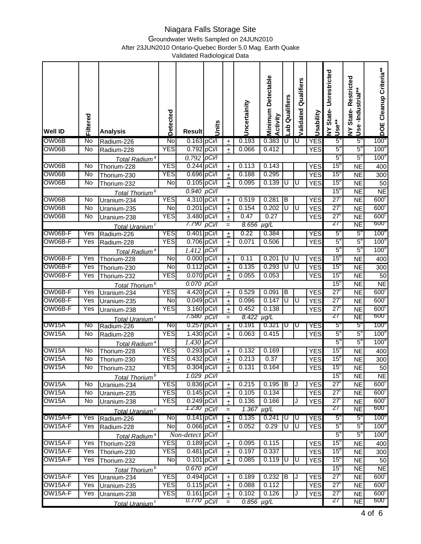Groundwater Wells Sampled on 24JUN2010

After 23JUN2010 Ontario-Quebec Border 5.0 Mag. Earth Quake

| <b>Well ID</b>      | Filtered       | <b>Analysis</b>            | Detected                 | <b>Result</b>              | Units    |                      | Uncertainity      | <b>Detectable</b><br>Minimum<br>Activity | Qualifiers<br>ab        | Validated Qualifiers | Usability  | State-Unrestricted<br>Use <sup>**</sup><br>≽ | State-Restricted<br>Use-Industrial**<br>$\boldsymbol{\Sigma}$ | DOE Cleanup Criteria**  |
|---------------------|----------------|----------------------------|--------------------------|----------------------------|----------|----------------------|-------------------|------------------------------------------|-------------------------|----------------------|------------|----------------------------------------------|---------------------------------------------------------------|-------------------------|
| OW06B               | No             | Radium-226                 | No                       | 0.163 pCi/l                |          | $\boldsymbol{+}$     | 0.193             | 0.383                                    | U                       | U                    | <b>YES</b> | $5^a$                                        | $5^{\circ}$                                                   | $100^4$                 |
| OW06B               | $\overline{N}$ | Radium-228                 | <b>YES</b>               | 0.792 pCi/l                |          | $\pm$                | 0.066             | 0.412                                    |                         |                      | <b>YES</b> | $5^a$                                        | $5^a$                                                         | 100 <sup>a</sup>        |
|                     |                | Total Radium <sup>a</sup>  |                          | $0.792$ pCi/l              |          |                      |                   |                                          |                         |                      |            | $5^{\text{a}}$                               | $5^a$                                                         | 100 <sup>a</sup>        |
| OW06B               | No             | Thorium-228                | <b>YES</b>               | 0.244 pCi/l                |          | $\boldsymbol{+}$     | 0.113             | 0.143                                    |                         |                      | <b>YES</b> | $15^{\circ}$                                 | N <sub>E</sub>                                                | 400                     |
| OW06B               | No             | Thorium-230                | <b>YES</b>               | 0.696 pCi/l                |          | $\pm$                | 0.188             | 0.295                                    |                         |                      | <b>YES</b> | 15 <sup>o</sup>                              | <b>NE</b>                                                     | 300                     |
| OW06B               | No             | Thorium-232                | No                       | 0.105 pCi/l                |          | $\ddot{\phantom{1}}$ | 0.095             | 0.139                                    | U                       | Ū                    | <b>YES</b> | 15 <sup>o</sup>                              | <b>NE</b>                                                     | 50                      |
|                     |                | Total Thorium <sup>b</sup> |                          | 0.940 pCi/l                |          |                      |                   |                                          |                         |                      |            | 15 <sup>o</sup>                              | <b>NE</b>                                                     | N <sub>E</sub>          |
| OW06B               | $\overline{N}$ | Uranium-234                | <b>YES</b>               | 4.310 pCi/l                |          | $\pm$                | 0.519             | 0.281                                    | ΙB                      |                      | <b>YES</b> | $27^{\circ}$                                 | <b>NE</b>                                                     | 600 <sup>c</sup>        |
| OW06B               | No             | Uranium-235                | No                       | $0.201$ pCi/l              |          | $\ddot{}$            | 0.154             | 0.202                                    | ᠊ᡨ                      | Ū                    | <b>YES</b> | $27^{\circ}$                                 | $\overline{NE}$                                               | 600 <sup>c</sup>        |
| OW06B               | No             | Uranium-238                | <b>YES</b>               | 3.480 pCi/l                |          | $\pm$                | 0.47              | 0.27                                     |                         |                      | <b>YES</b> | $27^{\circ}$                                 | <b>NE</b>                                                     | 600 <sup>c</sup>        |
|                     |                | Total Uranium <sup>c</sup> |                          | 7.790                      | pCi/l    | $=$                  | $8.656$ $\mu$ g/L |                                          |                         |                      |            | 27                                           | <b>NE</b>                                                     | 600 <sub>o</sub>        |
| OW06B-F             | Yes            | Radium-226                 | <b>YES</b>               | 0.401 pCi/l                |          | $\ddot{}$            | 0.22              | 0.384                                    |                         |                      | <b>YES</b> | $5^{\circ}$                                  | $5^{\circ}$                                                   | 100 <sup>a</sup>        |
| OW06B-F             | Yes            | Radium-228                 | <b>YES</b>               | 0.706 pCi/l                |          | $\pm$                | 0.071             | 0.506                                    |                         |                      | <b>YES</b> | $5^a$                                        | $5^{\circ}$                                                   | 100 <sup>a</sup>        |
|                     |                | Total Radium <sup>a</sup>  |                          | 1.412                      | $p$ Ci/l |                      |                   |                                          |                         |                      |            | $5^{\rm a}$                                  | $5^{\circ}$                                                   | 100 <sup>a</sup>        |
| OW06B-F             | Yes            | Thorium-228                | No                       | 0.000 pCi/l                |          | $\pm$                | 0.11              | 0.201                                    | U                       | U                    | <b>YES</b> | $15^{\circ}$                                 | N <sub>E</sub>                                                | 400                     |
| OW06B-F             | Yes            | Thorium-230                | No                       | $0.112$ pCi/l              |          | $\pm$                | 0.135             | 0.293                                    | U                       | U                    | <b>YES</b> | 15 <sup>o</sup>                              | <b>NE</b>                                                     | 300                     |
| OW06B-F             | Yes            | Thorium-232                | <b>YES</b>               | 0.070 pCi/l                |          | $\pm$                | 0.055             | 0.053                                    |                         |                      | <b>YES</b> | 15 <sup>o</sup>                              | <b>NE</b>                                                     | 50                      |
|                     |                | Total Thorium <sup>b</sup> |                          | 0.070 pCi/l                |          |                      |                   |                                          |                         |                      |            | 15 <sup>o</sup>                              | <b>NE</b>                                                     | N <sub>E</sub>          |
| OW06B-F             | Yes            | Uranium-234                | <b>YES</b>               | 4.420 pCi/l                |          | $\pm$                | 0.529             | 0.091                                    | ΤB                      |                      | <b>YES</b> | $27^{\circ}$                                 | <b>NE</b>                                                     | 600 <sub>c</sub>        |
| OW06B-F             | Yes            | Uranium-235                | No                       | 0.049 pCi/l                |          | $\pm$                | 0.096             | 0.147                                    | $\overline{\mathsf{U}}$ | ΙU                   | <b>YES</b> | $27^{\circ}$                                 | <b>NE</b>                                                     | 600 <sub>c</sub>        |
| OW06B-F             | Yes            | Uranium-238                | <b>YES</b>               | 3.160 pCi/l                |          | $\pm$                | 0.452             | 0.138                                    |                         |                      | <b>YES</b> | $27^{\circ}$                                 | <b>NE</b>                                                     | 600 <sub>c</sub>        |
|                     |                | Total Uranium <sup>c</sup> |                          | 7.580                      | pCi/l    | $=$                  | 8.422             | $\mu g/L$                                |                         |                      |            | 27                                           | <b>NE</b>                                                     | 600                     |
| OW15A               | No             | Radium-226                 | No                       | $0.257$ pCi/l              |          | $\pm$                | 0.191             | 0.321                                    | U                       | IU                   | YES        | $5^{\circ}$                                  | $5^{\circ}$                                                   | $100^\circ$             |
| OW15A               | No             | Radium-228                 | <b>YES</b>               | 1.430 pCi/l                |          | $\pm$                | 0.063             | 0.415                                    |                         |                      | <b>YES</b> | $5^{\circ}$                                  | $5^{\circ}$                                                   | 100 <sup>a</sup>        |
|                     |                | Total Radium <sup>a</sup>  |                          | 1.430                      | pCi/l    |                      |                   |                                          |                         |                      |            | $5^{\circ}$                                  | $5^{\circ}$                                                   | 100 <sup>a</sup>        |
| OW15A               | No             | Thorium-228                | <b>YES</b>               | 0.293 pCi/l                |          | $\ddot{}$            | 0.132             | 0.169                                    |                         |                      | <b>YES</b> | $15^{\circ}$                                 | <b>NE</b>                                                     | 400                     |
| OW15A               | No             | Thorium-230                | <b>YES</b>               | 0.432 pCi/l                |          | $\ddot{}$            | 0.213             | 0.37                                     |                         |                      | <b>YES</b> | 15 <sup>o</sup>                              | <b>NE</b>                                                     | 300                     |
| OW15A               | No             | Thorium-232                | <b>YES</b>               | 0.304 pCi/l                |          | $\pm$                | 0.131             | 0.164                                    |                         |                      | <b>YES</b> | $15^{\circ}$                                 | <b>NE</b>                                                     | 50                      |
|                     |                | Total Thorium <sup>b</sup> |                          | $1.029$ pCi/l              |          |                      |                   |                                          |                         |                      |            | $15^{\circ}$                                 | <b>NE</b>                                                     | N <sub>E</sub>          |
| OW15A               | No             | Uranium-234                | <b>YES</b>               | 0.836 pCi/l                |          | $\pm$                | 0.215             | 0.195                                    | B                       | J                    | <b>YES</b> | $27^{\circ}$                                 | <b>NE</b>                                                     | 600 <sup>c</sup>        |
| OW15A               | $\overline{N}$ | Uranium-235                | YES                      | $0.145$ pCi/l              |          | $\pm$                | 0.105             | 0.134                                    |                         |                      | <b>YES</b> | $27^{\circ}$                                 | <b>NE</b>                                                     | 600 <sub>c</sub>        |
| OW15A               | No             | Uranium-238                | <b>YES</b>               | 0.249 pCi/l                |          | $\pm$                | 0.136             | 0.166                                    |                         | J                    | <b>YES</b> | $27^{\circ}$                                 | <b>NE</b>                                                     | 600 <sub>c</sub>        |
|                     |                | Total Uranium <sup>c</sup> |                          | 1.230 pCi/l                |          | $=$                  | 1.367             | $\mu g/L$                                |                         |                      |            | 27                                           | <b>NE</b>                                                     | 600                     |
| OW15A-F             | Yes            | Radium-226                 | No                       | $0.141$ pCi/l              |          | $\pm$                | 0.135             | 0.241                                    | D                       | J                    | <b>YES</b> | $5^{\circ}$                                  | $5^{\circ}$                                                   | 100 <sup>a</sup>        |
| OW15A-F             | Yes            | Radium-228                 | No                       | 0.066 pCi/l                |          | $\ddot{}$            | 0.052             | 0.29                                     | U                       | π                    | <b>YES</b> | $5^{\circ}$                                  | $5^{\circ}$                                                   | 100 <sup>a</sup>        |
|                     |                | Total Radium <sup>a</sup>  |                          | Non-detect pCi/l           |          |                      |                   |                                          |                         |                      |            | $5^{\mathrm{a}}$                             | $5^a$                                                         | 100 <sup>a</sup>        |
| OW15A-F             | Yes            | Thorium-228                | <b>YES</b>               | 0.189 pCi/l                |          | $\ddot{}$            | 0.095             | 0.115                                    |                         |                      | <b>YES</b> | 15 <sup>o</sup>                              | <b>NE</b>                                                     | 400                     |
| OW15A-F             | Yes            | Thorium-230                | <b>YES</b>               | 0.481 pCi/l                |          | $\ddot{}$            | 0.197             | 0.337                                    |                         |                      | <b>YES</b> | 15 <sup>o</sup>                              | <b>NE</b>                                                     | 300                     |
| OW15A-F             | Yes            | Thorium-232                | No                       | 0.101 pCi/l                |          | $+$                  | 0.085             | 0.119                                    | U                       | U                    | <b>YES</b> | $15^{\circ}$                                 | <b>NE</b>                                                     | 50                      |
|                     |                | Total Thorium <sup>b</sup> |                          | $0.670$ pCi/l              |          |                      |                   |                                          |                         |                      |            | 15 <sup>o</sup>                              | <b>NE</b>                                                     | <b>NE</b>               |
| OW <sub>15A-F</sub> | Yes            | Uranium-234                | <b>YES</b>               | 0.494 pCi/l                |          | $+$                  | 0.189             | $0.232$ B                                |                         | J                    | <b>YES</b> | $27^{\circ}$                                 | <b>NE</b>                                                     | 600 <sup>c</sup>        |
| OW15A-F             | Yes            | Uranium-235                | <b>YES</b><br><b>YES</b> | 0.115 pCi/l                |          | $\pm$                | 0.088             | 0.112                                    |                         |                      | <b>YES</b> | $27^{\circ}$                                 | <b>NE</b>                                                     | 600 <sub>c</sub>        |
| OW15A-F             | Yes            | Uranium-238                |                          | 0.161 pCi/l<br>0.770 pCi/l |          | $\pm$                | 0.102             | 0.126                                    |                         | J                    | YES        | $27^{\circ}$<br>27                           | <b>NE</b>                                                     | 600 <sup>c</sup><br>600 |
|                     |                | Total Uranium <sup>c</sup> |                          |                            |          | $=$                  | $0.856$ $\mu$ g/L |                                          |                         |                      |            |                                              | <b>NE</b>                                                     |                         |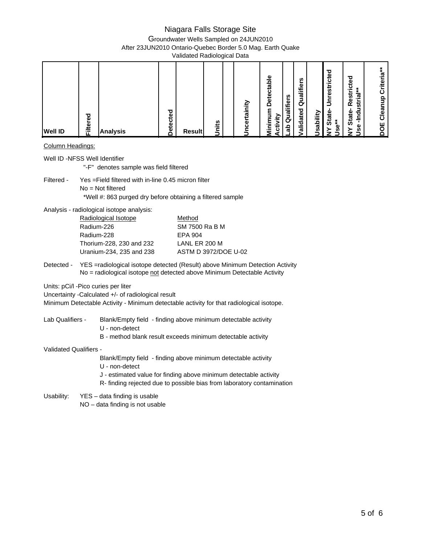Groundwater Wells Sampled on 24JUN2010

After 23JUN2010 Ontario-Quebec Border 5.0 Mag. Earth Quake

Validated Radiological Data

### Column Headings:

| Well ID -NFSS Well Identifier | "-F" denotes sample was field filtered                                                                                                    |                                                                                                                                                                                                              |
|-------------------------------|-------------------------------------------------------------------------------------------------------------------------------------------|--------------------------------------------------------------------------------------------------------------------------------------------------------------------------------------------------------------|
| Filtered -                    | Yes = Field filtered with in-line 0.45 micron filter<br>$No = Not filtered$<br>*Well #: 863 purged dry before obtaining a filtered sample |                                                                                                                                                                                                              |
|                               | Analysis - radiological isotope analysis:                                                                                                 |                                                                                                                                                                                                              |
|                               | Radiological Isotope                                                                                                                      | Method                                                                                                                                                                                                       |
|                               | Radium-226                                                                                                                                | SM 7500 Ra B M                                                                                                                                                                                               |
|                               | Radium-228                                                                                                                                | <b>EPA 904</b>                                                                                                                                                                                               |
|                               | Thorium-228, 230 and 232                                                                                                                  | LANL ER 200 M                                                                                                                                                                                                |
|                               | Uranium-234, 235 and 238                                                                                                                  | ASTM D 3972/DOE U-02                                                                                                                                                                                         |
| Detected -                    | Units: pCi/l -Pico curies per liter<br>Uncertainty -Calculated +/- of radiological result                                                 | YES =radiological isotope detected (Result) above Minimum Detection Activity<br>No = radiological isotope not detected above Minimum Detectable Activity                                                     |
|                               |                                                                                                                                           | Minimum Detectable Activity - Minimum detectable activity for that radiological isotope.                                                                                                                     |
| Lab Qualifiers -              | U - non-detect                                                                                                                            | Blank/Empty field - finding above minimum detectable activity<br>B - method blank result exceeds minimum detectable activity                                                                                 |
| Validated Qualifiers -        |                                                                                                                                           |                                                                                                                                                                                                              |
|                               | U - non-detect                                                                                                                            | Blank/Empty field - finding above minimum detectable activity<br>J - estimated value for finding above minimum detectable activity<br>R- finding rejected due to possible bias from laboratory contamination |
|                               | Usability: YES - data finding is usable<br>NO - data finding is not usable                                                                |                                                                                                                                                                                                              |
|                               |                                                                                                                                           |                                                                                                                                                                                                              |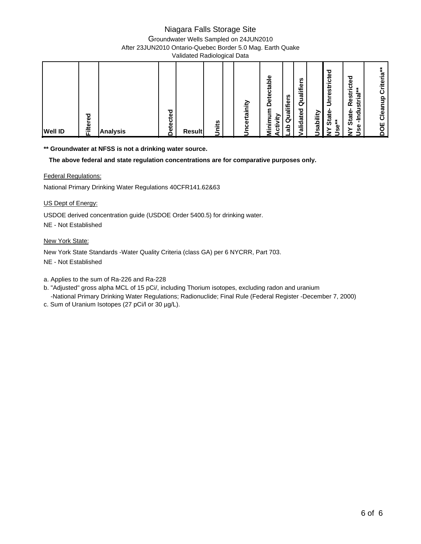Groundwater Wells Sampled on 24JUN2010

After 23JUN2010 Ontario-Quebec Border 5.0 Mag. Earth Quake

Validated Radiological Data

**\*\* Groundwater at NFSS is not a drinking water source.** 

 **The above federal and state regulation concentrations are for comparative purposes only.**

#### Federal Regulations:

National Primary Drinking Water Regulations 40CFR141.62&63

#### US Dept of Energy:

USDOE derived concentration guide (USDOE Order 5400.5) for drinking water.

NE - Not Established

#### New York State:

New York State Standards -Water Quality Criteria (class GA) per 6 NYCRR, Part 703.

NE - Not Established

a. Applies to the sum of Ra-226 and Ra-228

b. "Adjusted" gross alpha MCL of 15 pCi/, including Thorium isotopes, excluding radon and uranium

- -National Primary Drinking Water Regulations; Radionuclide; Final Rule (Federal Register -December 7, 2000)
- c. Sum of Uranium Isotopes (27 pCi/l or 30 µg/L).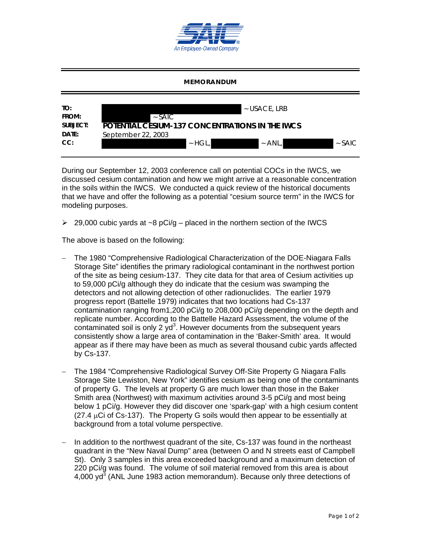

#### **MEMORANDUM**



During our September 12, 2003 conference call on potential COCs in the IWCS, we discussed cesium contamination and how we might arrive at a reasonable concentration in the soils within the IWCS. We conducted a quick review of the historical documents that we have and offer the following as a potential "cesium source term" in the IWCS for modeling purposes.

 $\geq$  29,000 cubic yards at ~8 pCi/g – placed in the northern section of the IWCS

The above is based on the following:

- The 1980 "Comprehensive Radiological Characterization of the DOE-Niagara Falls Storage Site" identifies the primary radiological contaminant in the northwest portion of the site as being cesium-137. They cite data for that area of Cesium activities up to 59,000 pCi/g although they do indicate that the cesium was swamping the detectors and not allowing detection of other radionuclides. The earlier 1979 progress report (Battelle 1979) indicates that two locations had Cs-137 contamination ranging from1,200 pCi/g to 208,000 pCi/g depending on the depth and replicate number. According to the Battelle Hazard Assessment, the volume of the contaminated soil is only 2  $yd^3$ . However documents from the subsequent years consistently show a large area of contamination in the 'Baker-Smith' area. It would appear as if there may have been as much as several thousand cubic yards affected by Cs-137.
- The 1984 "Comprehensive Radiological Survey Off-Site Property G Niagara Falls Storage Site Lewiston, New York" identifies cesium as being one of the contaminants of property G. The levels at property G are much lower than those in the Baker Smith area (Northwest) with maximum activities around 3-5 pCi/g and most being below 1 pCi/g. However they did discover one 'spark-gap' with a high cesium content  $(27.4 \mu C)$  of Cs-137). The Property G soils would then appear to be essentially at background from a total volume perspective.
- In addition to the northwest quadrant of the site, Cs-137 was found in the northeast quadrant in the "New Naval Dump" area (between O and N streets east of Campbell St). Only 3 samples in this area exceeded background and a maximum detection of 220 pCi/g was found. The volume of soil material removed from this area is about 4,000 yd<sup>3</sup> (ANL June 1983 action memorandum). Because only three detections of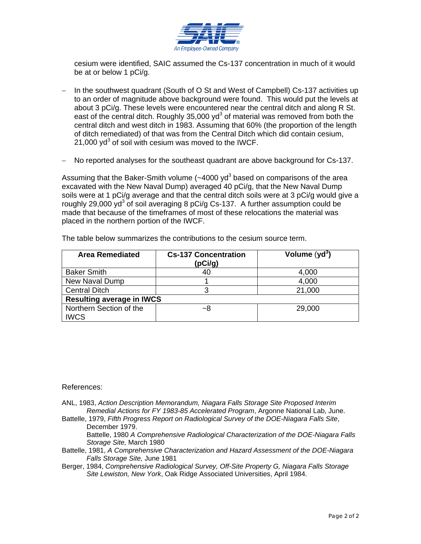

cesium were identified, SAIC assumed the Cs-137 concentration in much of it would be at or below 1 pCi/g.

- In the southwest quadrant (South of O St and West of Campbell) Cs-137 activities up to an order of magnitude above background were found. This would put the levels at about 3 pCi/g. These levels were encountered near the central ditch and along R St. east of the central ditch. Roughly 35,000 yd<sup>3</sup> of material was removed from both the central ditch and west ditch in 1983. Assuming that 60% (the proportion of the length of ditch remediated) of that was from the Central Ditch which did contain cesium, 21,000 yd<sup>3</sup> of soil with cesium was moved to the IWCF.
- No reported analyses for the southeast quadrant are above background for Cs-137.

Assuming that the Baker-Smith volume (~4000 yd<sup>3</sup> based on comparisons of the area excavated with the New Naval Dump) averaged 40 pCi/g, that the New Naval Dump soils were at 1 pCi/g average and that the central ditch soils were at 3 pCi/g would give a roughly 29,000 yd<sup>3</sup> of soil averaging 8 pCi/g Cs-137. A further assumption could be made that because of the timeframes of most of these relocations the material was placed in the northern portion of the IWCF.

| <b>Area Remediated</b>           | <b>Cs-137 Concentration</b> | Volume $(yd3)$ |  |  |  |  |
|----------------------------------|-----------------------------|----------------|--|--|--|--|
|                                  | (pCi/g)                     |                |  |  |  |  |
| <b>Baker Smith</b>               | 40                          | 4,000          |  |  |  |  |
| New Naval Dump                   |                             | 4,000          |  |  |  |  |
| <b>Central Ditch</b>             | ว                           | 21,000         |  |  |  |  |
| <b>Resulting average in IWCS</b> |                             |                |  |  |  |  |
| Northern Section of the          | ~8                          | 29,000         |  |  |  |  |
| <b>IWCS</b>                      |                             |                |  |  |  |  |

The table below summarizes the contributions to the cesium source term.

### References:

- ANL, 1983, *Action Description Memorandum, Niagara Falls Storage Site Proposed Interim Remedial Actions for FY 1983-85 Accelerated Program*, Argonne National Lab, June.
- Battelle, 1979, *Fifth Progress Report on Radiological Survey of the DOE-Niagara Falls Site*, December 1979.

Battelle, 1980 *A Comprehensive Radiological Characterization of the DOE-Niagara Falls Storage Site,* March 1980

- Battelle, 1981, *A Comprehensive Characterization and Hazard Assessment of the DOE-Niagara Falls Storage Site,* June 1981
- Berger, 1984, *Comprehensive Radiological Survey, Off-Site Property G, Niagara Falls Storage Site Lewiston, New York*, Oak Ridge Associated Universities, April 1984.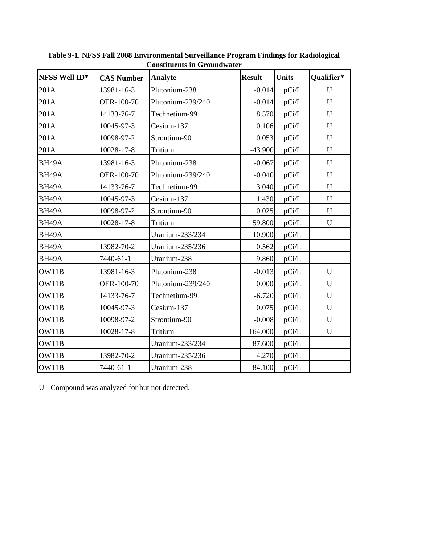| NFSS Well ID*      | <b>CAS Number</b> | <b>Analyte</b>    | <b>Result</b> | <b>Units</b> | Qualifier*  |
|--------------------|-------------------|-------------------|---------------|--------------|-------------|
| 201A               | 13981-16-3        | Plutonium-238     | $-0.014$      | pCi/L        | U           |
| 201A               | OER-100-70        | Plutonium-239/240 | $-0.014$      | pCi/L        | U           |
| 201A               | 14133-76-7        | Technetium-99     | 8.570         | pCi/L        | U           |
| 201A               | 10045-97-3        | Cesium-137        | 0.106         | pCi/L        | U           |
| 201A               | 10098-97-2        | Strontium-90      | 0.053         | pCi/L        | $\mathbf U$ |
| 201A               | 10028-17-8        | Tritium           | $-43.900$     | pCi/L        | U           |
| BH <sub>49</sub> A | 13981-16-3        | Plutonium-238     | $-0.067$      | pCi/L        | U           |
| BH <sub>49</sub> A | OER-100-70        | Plutonium-239/240 | $-0.040$      | pCi/L        | U           |
| BH <sub>49</sub> A | 14133-76-7        | Technetium-99     | 3.040         | pCi/L        | U           |
| BH <sub>49</sub> A | 10045-97-3        | Cesium-137        | 1.430         | pCi/L        | U           |
| BH <sub>49</sub> A | 10098-97-2        | Strontium-90      | 0.025         | pCi/L        | U           |
| BH <sub>49</sub> A | 10028-17-8        | Tritium           | 59.800        | pCi/L        | $\mathbf U$ |
| BH <sub>49</sub> A |                   | Uranium-233/234   | 10.900        | pCi/L        |             |
| BH <sub>49</sub> A | 13982-70-2        | Uranium-235/236   | 0.562         | pCi/L        |             |
| BH <sub>49</sub> A | 7440-61-1         | Uranium-238       | 9.860         | pCi/L        |             |
| OW11B              | 13981-16-3        | Plutonium-238     | $-0.013$      | pCi/L        | U           |
| OW11B              | OER-100-70        | Plutonium-239/240 | 0.000         | pCi/L        | $\mathbf U$ |
| OW11B              | 14133-76-7        | Technetium-99     | $-6.720$      | pCi/L        | $\mathbf U$ |
| OW11B              | 10045-97-3        | Cesium-137        | 0.075         | pCi/L        | $\mathbf U$ |
| OW11B              | 10098-97-2        | Strontium-90      | $-0.008$      | pCi/L        | ${\bf U}$   |
| OW11B              | 10028-17-8        | Tritium           | 164.000       | pCi/L        | $\mathbf U$ |
| OW11B              |                   | Uranium-233/234   | 87.600        | pCi/L        |             |
| OW11B              | 13982-70-2        | Uranium-235/236   | 4.270         | pCi/L        |             |
| OW11B              | 7440-61-1         | Uranium-238       | 84.100        | pCi/L        |             |

**Table 9-1. NFSS Fall 2008 Environmental Surveillance Program Findings for Radiological Constituents in Groundwater** 

U - Compound was analyzed for but not detected.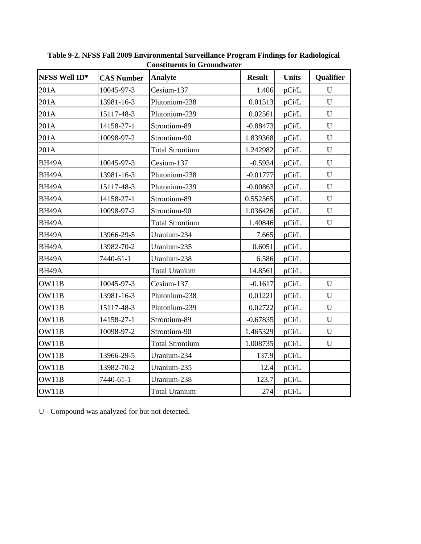| NFSS Well ID*      | <b>CAS Number</b> | <b>Analyte</b>         | <b>Result</b> | <b>Units</b> | Qualifier   |
|--------------------|-------------------|------------------------|---------------|--------------|-------------|
| 201A               | 10045-97-3        | Cesium-137             | 1.406         | pCi/L        | U           |
| 201A               | 13981-16-3        | Plutonium-238          | 0.01513       | pCi/L        | $\mathbf U$ |
| 201A               | 15117-48-3        | Plutonium-239          | 0.02561       | pCi/L        | $\mathbf U$ |
| 201A               | 14158-27-1        | Strontium-89           | $-0.88473$    | pCi/L        | $\mathbf U$ |
| 201A               | 10098-97-2        | Strontium-90           | 1.839368      | pCi/L        | $\mathbf U$ |
| 201A               |                   | <b>Total Strontium</b> | 1.242982      | pCi/L        | U           |
| BH <sub>49</sub> A | 10045-97-3        | Cesium-137             | $-0.5934$     | pCi/L        | $\mathbf U$ |
| BH <sub>49</sub> A | 13981-16-3        | Plutonium-238          | $-0.01777$    | pCi/L        | U           |
| BH <sub>49</sub> A | 15117-48-3        | Plutonium-239          | $-0.00863$    | pCi/L        | $\mathbf U$ |
| BH <sub>49</sub> A | 14158-27-1        | Strontium-89           | 0.552565      | pCi/L        | $\mathbf U$ |
| BH <sub>49</sub> A | 10098-97-2        | Strontium-90           | 1.036426      | pCi/L        | U           |
| BH <sub>49</sub> A |                   | <b>Total Strontium</b> | 1.40846       | pCi/L        | U           |
| BH <sub>49</sub> A | 13966-29-5        | Uranium-234            | 7.665         | pCi/L        |             |
| BH <sub>49</sub> A | 13982-70-2        | Uranium-235            | 0.6051        | pCi/L        |             |
| BH <sub>49</sub> A | 7440-61-1         | Uranium-238            | 6.586         | pCi/L        |             |
| BH <sub>49</sub> A |                   | <b>Total Uranium</b>   | 14.8561       | pCi/L        |             |
| OW11B              | 10045-97-3        | Cesium-137             | $-0.1617$     | pCi/L        | $\mathbf U$ |
| OW11B              | 13981-16-3        | Plutonium-238          | 0.01221       | pCi/L        | $\mathbf U$ |
| OW11B              | 15117-48-3        | Plutonium-239          | 0.02722       | pCi/L        | $\mathbf U$ |
| OW11B              | 14158-27-1        | Strontium-89           | $-0.67835$    | pCi/L        | U           |
| OW11B              | 10098-97-2        | Strontium-90           | 1.465329      | pCi/L        | U           |
| OW11B              |                   | <b>Total Strontium</b> | 1.008735      | pCi/L        | U           |
| OW11B              | 13966-29-5        | Uranium-234            | 137.9         | $pCi/L$      |             |
| OW11B              | 13982-70-2        | Uranium-235            | 12.4          | pCi/L        |             |
| OW11B              | 7440-61-1         | Uranium-238            | 123.7         | pCi/L        |             |
| OW11B              |                   | <b>Total Uranium</b>   | 274           | pCi/L        |             |

**Table 9-2. NFSS Fall 2009 Environmental Surveillance Program Findings for Radiological Constituents in Groundwater** 

U - Compound was analyzed for but not detected.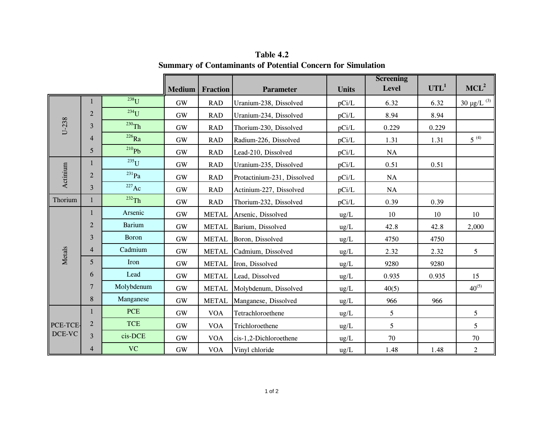|          |                |                            | <b>Medium</b>             | <b>Fraction</b> | Parameter                   | <b>Units</b>  | <b>Screening</b><br>Level | UTL <sup>1</sup> | MCL <sup>2</sup>            |
|----------|----------------|----------------------------|---------------------------|-----------------|-----------------------------|---------------|---------------------------|------------------|-----------------------------|
|          | 1              | $238$ U                    | <b>GW</b>                 | <b>RAD</b>      | Uranium-238, Dissolved      | pCi/L         | 6.32                      | 6.32             | $30 \mu g/L$ <sup>(3)</sup> |
|          | $\overline{2}$ | $234$ U                    | <b>GW</b>                 | <b>RAD</b>      | Uranium-234, Dissolved      | pCi/L         | 8.94                      | 8.94             |                             |
| $U-238$  | 3              | $230$ Th                   | <b>GW</b>                 | <b>RAD</b>      | Thorium-230, Dissolved      | pCi/L         | 0.229                     | 0.229            |                             |
|          | 4              | $^{226}Ra$                 | <b>GW</b>                 | <b>RAD</b>      | Radium-226, Dissolved       | pCi/L         | 1.31                      | 1.31             | $5^{(4)}$                   |
|          | 5              | $^{210}Pb$                 | $\mathrm{GW}$             | <b>RAD</b>      | Lead-210, Dissolved         | pCi/L         | NA                        |                  |                             |
|          | 1              | $235$ U                    | <b>GW</b>                 | <b>RAD</b>      | Uranium-235, Dissolved      | pCi/L         | 0.51                      | 0.51             |                             |
| Actinium | $\overline{2}$ | $^{231}Pa$                 | <b>GW</b>                 | <b>RAD</b>      | Protactinium-231, Dissolved | pCi/L         | <b>NA</b>                 |                  |                             |
|          | 3              | $227$ Ac                   | <b>GW</b>                 | <b>RAD</b>      | Actinium-227, Dissolved     | pCi/L         | $\rm NA$                  |                  |                             |
| Thorium  | $\mathbf{1}$   | $232$ Th                   | <b>GW</b>                 | <b>RAD</b>      | Thorium-232, Dissolved      | pCi/L         | 0.39                      | 0.39             |                             |
|          | 1              | Arsenic                    | <b>GW</b>                 | <b>METAL</b>    | Arsenic, Dissolved          | ug/L          | 10                        | 10               | 10                          |
|          | $\overline{2}$ | <b>Barium</b><br><b>GW</b> |                           | <b>METAL</b>    | Barium, Dissolved           | ug/L          | 42.8                      | 42.8             | 2,000                       |
|          | 3              | <b>Boron</b>               | <b>METAL</b><br><b>GW</b> |                 | Boron, Dissolved            | $\text{ug/L}$ | 4750                      | 4750             |                             |
| Metals   | 4              | Cadmium                    | <b>GW</b>                 | <b>METAL</b>    | Cadmium, Dissolved          | ug/L          | 2.32                      | 2.32             | 5                           |
|          | 5              | Iron                       | <b>GW</b>                 | <b>METAL</b>    | Iron, Dissolved             | ug/L          | 9280                      | 9280             |                             |
|          | 6              | Lead                       | <b>GW</b>                 | <b>METAL</b>    | Lead, Dissolved             | ug/L          | 0.935                     | 0.935            | 15                          |
|          | 7              | Molybdenum                 | <b>GW</b>                 | <b>METAL</b>    | Molybdenum, Dissolved       | $\text{ug/L}$ | 40(5)                     |                  | $40^{(5)}$                  |
|          | 8              | Manganese                  | <b>GW</b>                 | <b>METAL</b>    | Manganese, Dissolved        | $ug/L$        | 966                       | 966              |                             |
|          | $\mathbf{1}$   | <b>PCE</b>                 | <b>GW</b>                 | <b>VOA</b>      | Tetrachloroethene           | ug/L          | 5                         |                  | 5                           |
| PCE-TCE- | $\overline{2}$ | <b>TCE</b>                 | <b>GW</b>                 | <b>VOA</b>      | Trichloroethene             | ug/L          | 5                         |                  | 5                           |
| $DCE-VC$ | 3              | cis-DCE                    | $\mathrm{GW}$             | <b>VOA</b>      | cis-1,2-Dichloroethene      | ug/L          | 70                        |                  | $70\,$                      |
|          | 4              | <b>VC</b>                  | <b>GW</b>                 | <b>VOA</b>      | Vinyl chloride              | ug/L          | 1.48                      | 1.48             | $\boldsymbol{2}$            |

**Table 4.2 Summary of Contaminants of Potential Concern for Simulation**

 $\overline{\phantom{a}}$